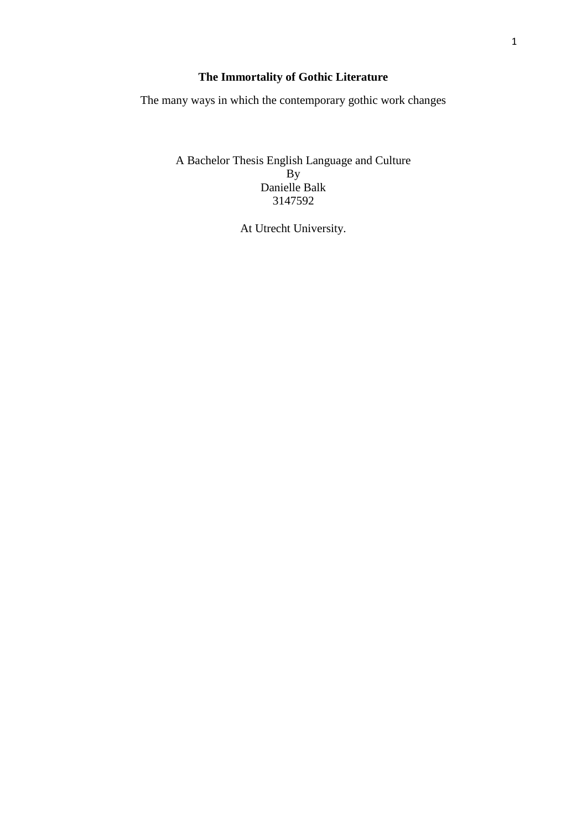# **The Immortality of Gothic Literature**

The many ways in which the contemporary gothic work changes

A Bachelor Thesis English Language and Culture  $\mathbf{B}$ Danielle Balk 3147592

At Utrecht University.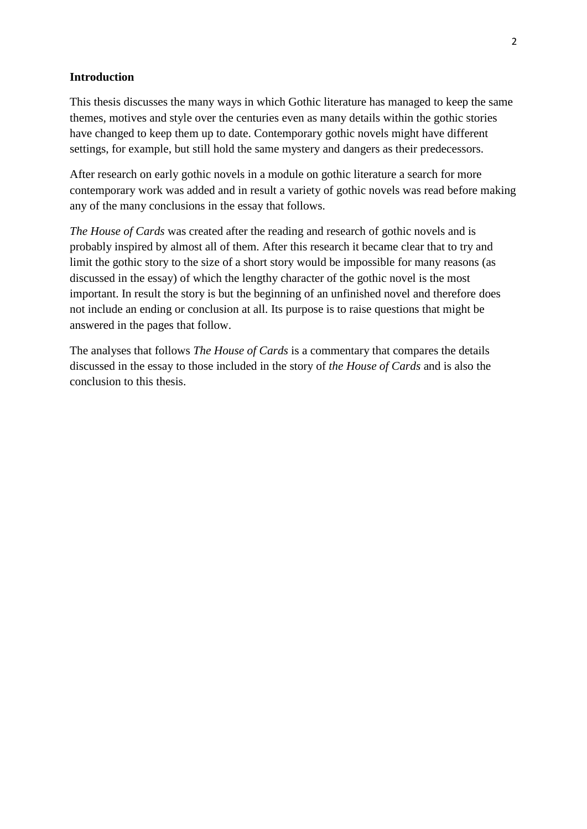# **Introduction**

This thesis discusses the many ways in which Gothic literature has managed to keep the same themes, motives and style over the centuries even as many details within the gothic stories have changed to keep them up to date. Contemporary gothic novels might have different settings, for example, but still hold the same mystery and dangers as their predecessors.

After research on early gothic novels in a module on gothic literature a search for more contemporary work was added and in result a variety of gothic novels was read before making any of the many conclusions in the essay that follows.

*The House of Cards* was created after the reading and research of gothic novels and is probably inspired by almost all of them. After this research it became clear that to try and limit the gothic story to the size of a short story would be impossible for many reasons (as discussed in the essay) of which the lengthy character of the gothic novel is the most important. In result the story is but the beginning of an unfinished novel and therefore does not include an ending or conclusion at all. Its purpose is to raise questions that might be answered in the pages that follow.

The analyses that follows *The House of Cards* is a commentary that compares the details discussed in the essay to those included in the story of *the House of Cards* and is also the conclusion to this thesis.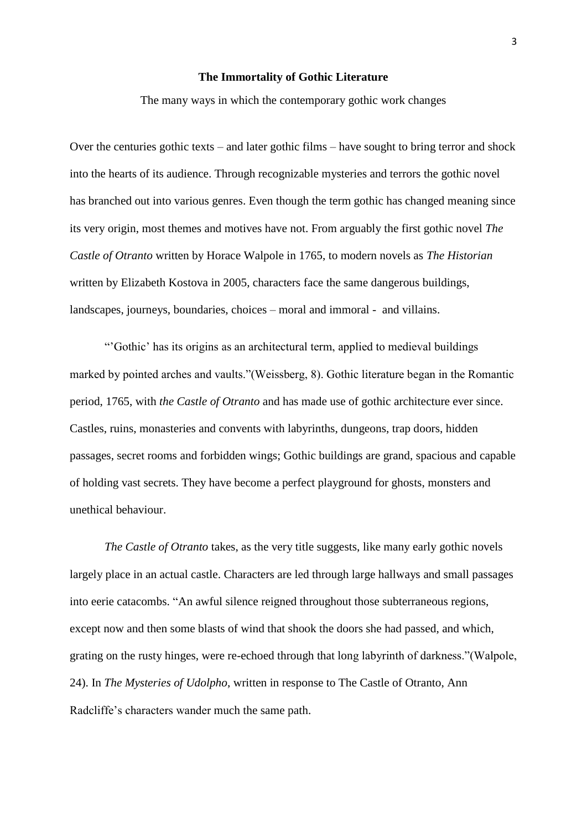## **The Immortality of Gothic Literature**

The many ways in which the contemporary gothic work changes

Over the centuries gothic texts – and later gothic films – have sought to bring terror and shock into the hearts of its audience. Through recognizable mysteries and terrors the gothic novel has branched out into various genres. Even though the term gothic has changed meaning since its very origin, most themes and motives have not. From arguably the first gothic novel *The Castle of Otranto* written by Horace Walpole in 1765, to modern novels as *The Historian* written by Elizabeth Kostova in 2005, characters face the same dangerous buildings, landscapes, journeys, boundaries, choices – moral and immoral - and villains.

―'Gothic' has its origins as an architectural term, applied to medieval buildings marked by pointed arches and vaults."(Weissberg, 8). Gothic literature began in the Romantic period, 1765, with *the Castle of Otranto* and has made use of gothic architecture ever since. Castles, ruins, monasteries and convents with labyrinths, dungeons, trap doors, hidden passages, secret rooms and forbidden wings; Gothic buildings are grand, spacious and capable of holding vast secrets. They have become a perfect playground for ghosts, monsters and unethical behaviour.

*The Castle of Otranto* takes, as the very title suggests, like many early gothic novels largely place in an actual castle. Characters are led through large hallways and small passages into eerie catacombs. "An awful silence reigned throughout those subterraneous regions, except now and then some blasts of wind that shook the doors she had passed, and which, grating on the rusty hinges, were re-echoed through that long labyrinth of darkness."(Walpole, 24). In *The Mysteries of Udolpho*, written in response to The Castle of Otranto, Ann Radcliffe's characters wander much the same path.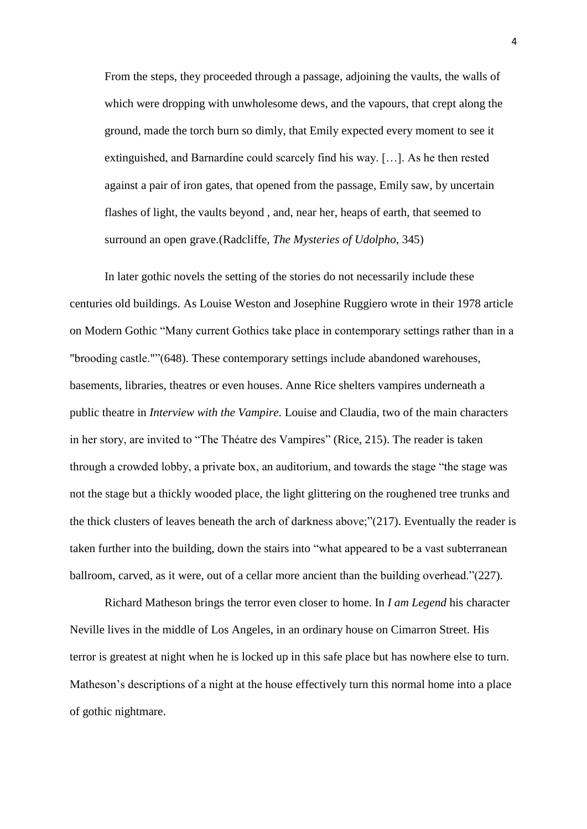From the steps, they proceeded through a passage, adjoining the vaults, the walls of which were dropping with unwholesome dews, and the vapours, that crept along the ground, made the torch burn so dimly, that Emily expected every moment to see it extinguished, and Barnardine could scarcely find his way. […]. As he then rested against a pair of iron gates, that opened from the passage, Emily saw, by uncertain flashes of light, the vaults beyond , and, near her, heaps of earth, that seemed to surround an open grave.(Radcliffe, *The Mysteries of Udolpho*, 345)

In later gothic novels the setting of the stories do not necessarily include these centuries old buildings. As Louise Weston and Josephine Ruggiero wrote in their 1978 article on Modern Gothic "Many current Gothics take place in contemporary settings rather than in a "brooding castle.""(648). These contemporary settings include abandoned warehouses, basements, libraries, theatres or even houses. Anne Rice shelters vampires underneath a public theatre in *Interview with the Vampire.* Louise and Claudia, two of the main characters in her story, are invited to "The Théatre des Vampires" (Rice, 215). The reader is taken through a crowded lobby, a private box, an auditorium, and towards the stage "the stage was not the stage but a thickly wooded place, the light glittering on the roughened tree trunks and the thick clusters of leaves beneath the arch of darkness above;" $(217)$ . Eventually the reader is taken further into the building, down the stairs into "what appeared to be a vast subterranean ballroom, carved, as it were, out of a cellar more ancient than the building overhead." $(227)$ .

Richard Matheson brings the terror even closer to home. In *I am Legend* his character Neville lives in the middle of Los Angeles, in an ordinary house on Cimarron Street. His terror is greatest at night when he is locked up in this safe place but has nowhere else to turn. Matheson's descriptions of a night at the house effectively turn this normal home into a place of gothic nightmare.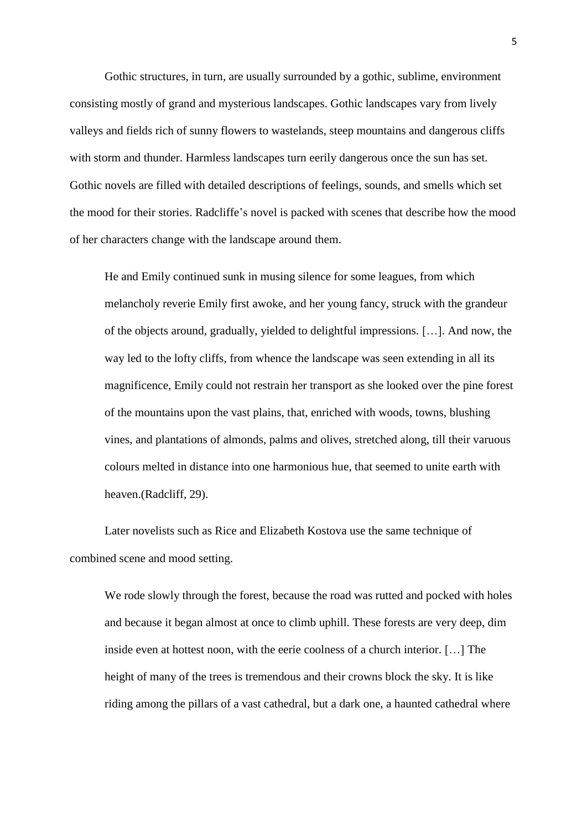Gothic structures, in turn, are usually surrounded by a gothic, sublime, environment consisting mostly of grand and mysterious landscapes. Gothic landscapes vary from lively valleys and fields rich of sunny flowers to wastelands, steep mountains and dangerous cliffs with storm and thunder. Harmless landscapes turn eerily dangerous once the sun has set. Gothic novels are filled with detailed descriptions of feelings, sounds, and smells which set the mood for their stories. Radcliffe's novel is packed with scenes that describe how the mood of her characters change with the landscape around them.

He and Emily continued sunk in musing silence for some leagues, from which melancholy reverie Emily first awoke, and her young fancy, struck with the grandeur of the objects around, gradually, yielded to delightful impressions. […]. And now, the way led to the lofty cliffs, from whence the landscape was seen extending in all its magnificence, Emily could not restrain her transport as she looked over the pine forest of the mountains upon the vast plains, that, enriched with woods, towns, blushing vines, and plantations of almonds, palms and olives, stretched along, till their varuous colours melted in distance into one harmonious hue, that seemed to unite earth with heaven.(Radcliff, 29).

Later novelists such as Rice and Elizabeth Kostova use the same technique of combined scene and mood setting.

We rode slowly through the forest, because the road was rutted and pocked with holes and because it began almost at once to climb uphill. These forests are very deep, dim inside even at hottest noon, with the eerie coolness of a church interior. […] The height of many of the trees is tremendous and their crowns block the sky. It is like riding among the pillars of a vast cathedral, but a dark one, a haunted cathedral where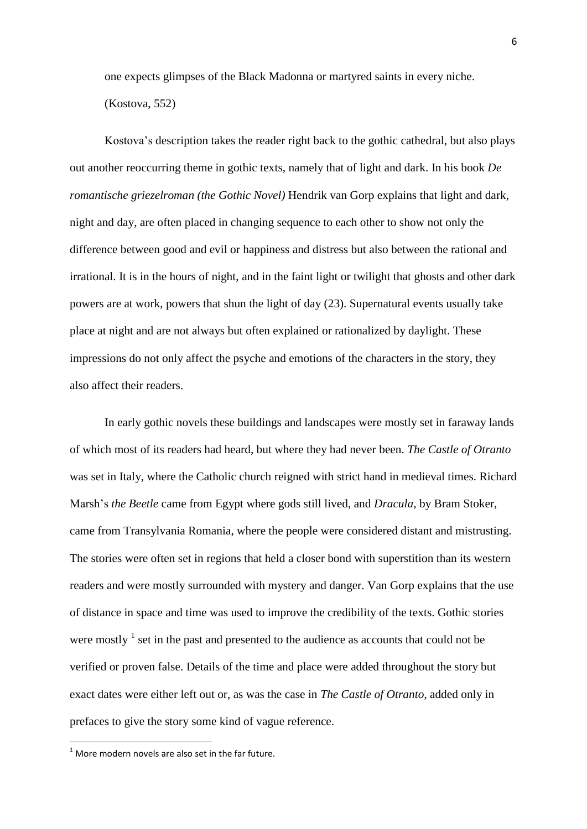one expects glimpses of the Black Madonna or martyred saints in every niche. (Kostova, 552)

Kostova's description takes the reader right back to the gothic cathedral, but also plays out another reoccurring theme in gothic texts, namely that of light and dark. In his book *De romantische griezelroman (the Gothic Novel)* Hendrik van Gorp explains that light and dark, night and day, are often placed in changing sequence to each other to show not only the difference between good and evil or happiness and distress but also between the rational and irrational. It is in the hours of night, and in the faint light or twilight that ghosts and other dark powers are at work, powers that shun the light of day (23). Supernatural events usually take place at night and are not always but often explained or rationalized by daylight. These impressions do not only affect the psyche and emotions of the characters in the story, they also affect their readers.

In early gothic novels these buildings and landscapes were mostly set in faraway lands of which most of its readers had heard, but where they had never been. *The Castle of Otranto* was set in Italy, where the Catholic church reigned with strict hand in medieval times. Richard Marsh's *the Beetle* came from Egypt where gods still lived, and *Dracula*, by Bram Stoker, came from Transylvania Romania, where the people were considered distant and mistrusting. The stories were often set in regions that held a closer bond with superstition than its western readers and were mostly surrounded with mystery and danger. Van Gorp explains that the use of distance in space and time was used to improve the credibility of the texts. Gothic stories were mostly  $\frac{1}{1}$  set in the past and presented to the audience as accounts that could not be verified or proven false. Details of the time and place were added throughout the story but exact dates were either left out or, as was the case in *The Castle of Otranto*, added only in prefaces to give the story some kind of vague reference.

**.** 

 $1$  More modern novels are also set in the far future.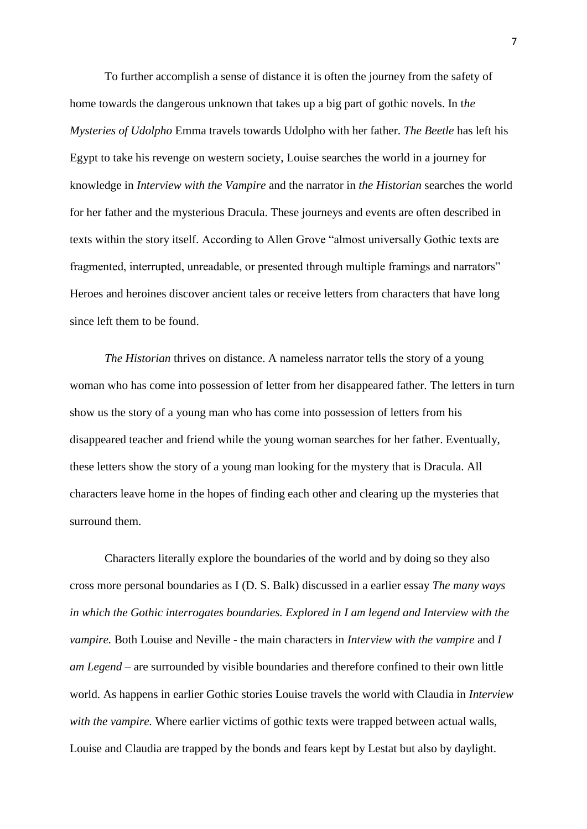To further accomplish a sense of distance it is often the journey from the safety of home towards the dangerous unknown that takes up a big part of gothic novels. In t*he Mysteries of Udolpho* Emma travels towards Udolpho with her father. *The Beetle* has left his Egypt to take his revenge on western society, Louise searches the world in a journey for knowledge in *Interview with the Vampire* and the narrator in *the Historian* searches the world for her father and the mysterious Dracula. These journeys and events are often described in texts within the story itself. According to Allen Grove "almost universally Gothic texts are fragmented, interrupted, unreadable, or presented through multiple framings and narrators" Heroes and heroines discover ancient tales or receive letters from characters that have long since left them to be found.

*The Historian* thrives on distance. A nameless narrator tells the story of a young woman who has come into possession of letter from her disappeared father. The letters in turn show us the story of a young man who has come into possession of letters from his disappeared teacher and friend while the young woman searches for her father. Eventually, these letters show the story of a young man looking for the mystery that is Dracula. All characters leave home in the hopes of finding each other and clearing up the mysteries that surround them.

Characters literally explore the boundaries of the world and by doing so they also cross more personal boundaries as I (D. S. Balk) discussed in a earlier essay *The many ways in which the Gothic interrogates boundaries. Explored in I am legend and Interview with the vampire.* Both Louise and Neville - the main characters in *Interview with the vampire* and *I am Legend* – are surrounded by visible boundaries and therefore confined to their own little world. As happens in earlier Gothic stories Louise travels the world with Claudia in *Interview with the vampire.* Where earlier victims of gothic texts were trapped between actual walls, Louise and Claudia are trapped by the bonds and fears kept by Lestat but also by daylight.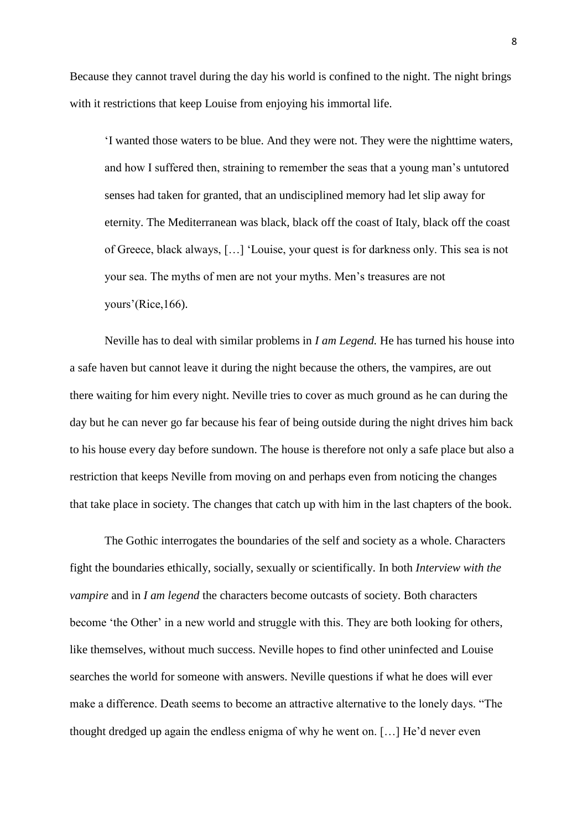Because they cannot travel during the day his world is confined to the night. The night brings with it restrictions that keep Louise from enjoying his immortal life.

‗I wanted those waters to be blue. And they were not. They were the nighttime waters, and how I suffered then, straining to remember the seas that a young man's untutored senses had taken for granted, that an undisciplined memory had let slip away for eternity. The Mediterranean was black, black off the coast of Italy, black off the coast of Greece, black always, […] ‗Louise, your quest is for darkness only. This sea is not your sea. The myths of men are not your myths. Men's treasures are not yours'(Rice,166).

Neville has to deal with similar problems in *I am Legend.* He has turned his house into a safe haven but cannot leave it during the night because the others, the vampires, are out there waiting for him every night. Neville tries to cover as much ground as he can during the day but he can never go far because his fear of being outside during the night drives him back to his house every day before sundown. The house is therefore not only a safe place but also a restriction that keeps Neville from moving on and perhaps even from noticing the changes that take place in society. The changes that catch up with him in the last chapters of the book.

The Gothic interrogates the boundaries of the self and society as a whole. Characters fight the boundaries ethically, socially, sexually or scientifically. In both *Interview with the vampire* and in *I am legend* the characters become outcasts of society. Both characters become 'the Other' in a new world and struggle with this. They are both looking for others, like themselves, without much success. Neville hopes to find other uninfected and Louise searches the world for someone with answers. Neville questions if what he does will ever make a difference. Death seems to become an attractive alternative to the lonely days. "The thought dredged up again the endless enigma of why he went on. […] He'd never even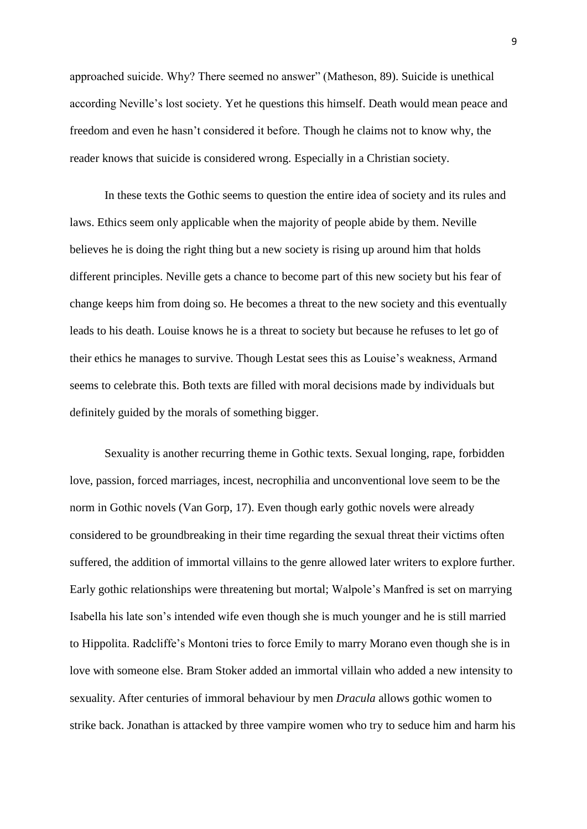approached suicide. Why? There seemed no answer" (Matheson, 89). Suicide is unethical according Neville's lost society. Yet he questions this himself. Death would mean peace and freedom and even he hasn't considered it before. Though he claims not to know why, the reader knows that suicide is considered wrong. Especially in a Christian society.

In these texts the Gothic seems to question the entire idea of society and its rules and laws. Ethics seem only applicable when the majority of people abide by them. Neville believes he is doing the right thing but a new society is rising up around him that holds different principles. Neville gets a chance to become part of this new society but his fear of change keeps him from doing so. He becomes a threat to the new society and this eventually leads to his death. Louise knows he is a threat to society but because he refuses to let go of their ethics he manages to survive. Though Lestat sees this as Louise's weakness, Armand seems to celebrate this. Both texts are filled with moral decisions made by individuals but definitely guided by the morals of something bigger.

Sexuality is another recurring theme in Gothic texts. Sexual longing, rape, forbidden love, passion, forced marriages, incest, necrophilia and unconventional love seem to be the norm in Gothic novels (Van Gorp, 17). Even though early gothic novels were already considered to be groundbreaking in their time regarding the sexual threat their victims often suffered, the addition of immortal villains to the genre allowed later writers to explore further. Early gothic relationships were threatening but mortal; Walpole's Manfred is set on marrying Isabella his late son's intended wife even though she is much younger and he is still married to Hippolita. Radcliffe's Montoni tries to force Emily to marry Morano even though she is in love with someone else. Bram Stoker added an immortal villain who added a new intensity to sexuality. After centuries of immoral behaviour by men *Dracula* allows gothic women to strike back. Jonathan is attacked by three vampire women who try to seduce him and harm his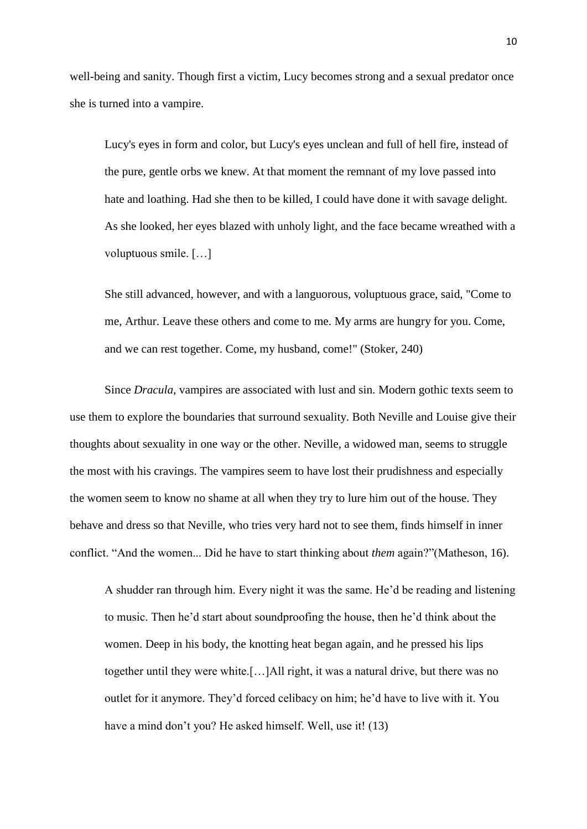well-being and sanity. Though first a victim, Lucy becomes strong and a sexual predator once she is turned into a vampire.

Lucy's eyes in form and color, but Lucy's eyes unclean and full of hell fire, instead of the pure, gentle orbs we knew. At that moment the remnant of my love passed into hate and loathing. Had she then to be killed, I could have done it with savage delight. As she looked, her eyes blazed with unholy light, and the face became wreathed with a voluptuous smile. […]

She still advanced, however, and with a languorous, voluptuous grace, said, "Come to me, Arthur. Leave these others and come to me. My arms are hungry for you. Come, and we can rest together. Come, my husband, come!" (Stoker, 240)

Since *Dracula,* vampires are associated with lust and sin. Modern gothic texts seem to use them to explore the boundaries that surround sexuality. Both Neville and Louise give their thoughts about sexuality in one way or the other. Neville, a widowed man, seems to struggle the most with his cravings. The vampires seem to have lost their prudishness and especially the women seem to know no shame at all when they try to lure him out of the house. They behave and dress so that Neville, who tries very hard not to see them, finds himself in inner conflict. "And the women... Did he have to start thinking about *them* again?"(Matheson, 16).

A shudder ran through him. Every night it was the same. He'd be reading and listening to music. Then he'd start about soundproofing the house, then he'd think about the women. Deep in his body, the knotting heat began again, and he pressed his lips together until they were white.[…]All right, it was a natural drive, but there was no outlet for it anymore. They'd forced celibacy on him; he'd have to live with it. You have a mind don't you? He asked himself. Well, use it! (13)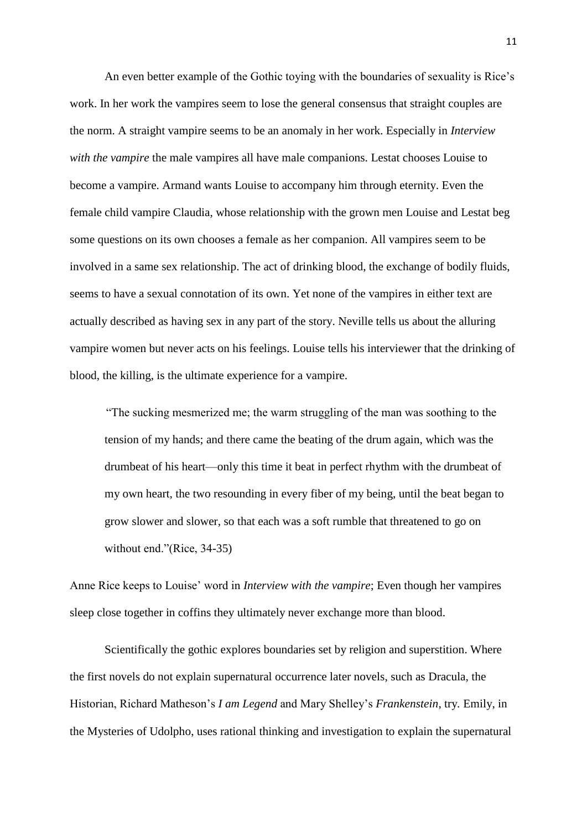An even better example of the Gothic toying with the boundaries of sexuality is Rice's work. In her work the vampires seem to lose the general consensus that straight couples are the norm. A straight vampire seems to be an anomaly in her work. Especially in *Interview with the vampire* the male vampires all have male companions. Lestat chooses Louise to become a vampire. Armand wants Louise to accompany him through eternity. Even the female child vampire Claudia, whose relationship with the grown men Louise and Lestat beg some questions on its own chooses a female as her companion. All vampires seem to be involved in a same sex relationship. The act of drinking blood, the exchange of bodily fluids, seems to have a sexual connotation of its own. Yet none of the vampires in either text are actually described as having sex in any part of the story. Neville tells us about the alluring vampire women but never acts on his feelings. Louise tells his interviewer that the drinking of blood, the killing, is the ultimate experience for a vampire.

―The sucking mesmerized me; the warm struggling of the man was soothing to the tension of my hands; and there came the beating of the drum again, which was the drumbeat of his heart—only this time it beat in perfect rhythm with the drumbeat of my own heart, the two resounding in every fiber of my being, until the beat began to grow slower and slower, so that each was a soft rumble that threatened to go on without end."(Rice, 34-35)

Anne Rice keeps to Louise' word in *Interview with the vampire*; Even though her vampires sleep close together in coffins they ultimately never exchange more than blood.

Scientifically the gothic explores boundaries set by religion and superstition. Where the first novels do not explain supernatural occurrence later novels, such as Dracula, the Historian, Richard Matheson's *I am Legend* and Mary Shelley's *Frankenstein*, try*.* Emily, in the Mysteries of Udolpho, uses rational thinking and investigation to explain the supernatural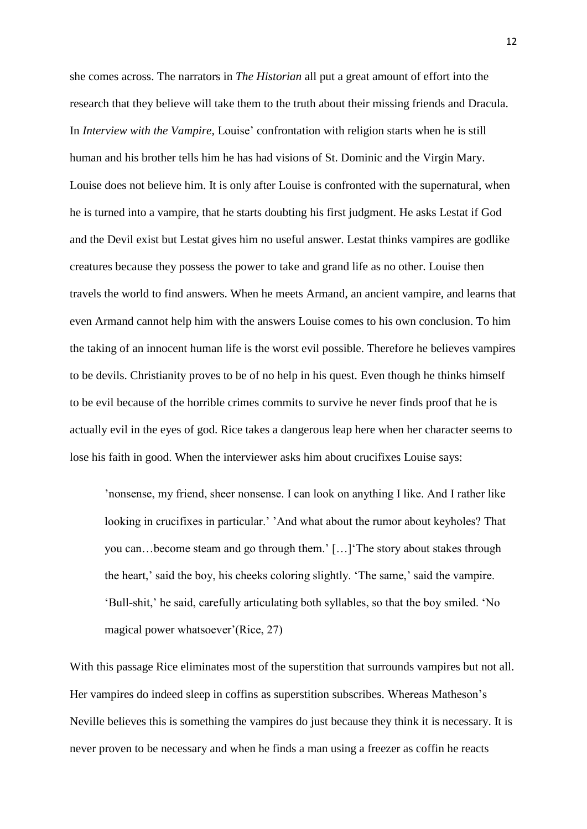she comes across. The narrators in *The Historian* all put a great amount of effort into the research that they believe will take them to the truth about their missing friends and Dracula. In *Interview with the Vampire,* Louise' confrontation with religion starts when he is still human and his brother tells him he has had visions of St. Dominic and the Virgin Mary. Louise does not believe him. It is only after Louise is confronted with the supernatural, when he is turned into a vampire, that he starts doubting his first judgment. He asks Lestat if God and the Devil exist but Lestat gives him no useful answer. Lestat thinks vampires are godlike creatures because they possess the power to take and grand life as no other. Louise then travels the world to find answers. When he meets Armand, an ancient vampire, and learns that even Armand cannot help him with the answers Louise comes to his own conclusion. To him the taking of an innocent human life is the worst evil possible. Therefore he believes vampires to be devils. Christianity proves to be of no help in his quest. Even though he thinks himself to be evil because of the horrible crimes commits to survive he never finds proof that he is actually evil in the eyes of god. Rice takes a dangerous leap here when her character seems to lose his faith in good. When the interviewer asks him about crucifixes Louise says:

'nonsense, my friend, sheer nonsense. I can look on anything I like. And I rather like looking in crucifixes in particular.' 'And what about the rumor about keyholes? That you can…become steam and go through them.' […]‗The story about stakes through the heart,' said the boy, his cheeks coloring slightly. ‗The same,' said the vampire. ‗Bull-shit,' he said, carefully articulating both syllables, so that the boy smiled. ‗No magical power whatsoever'(Rice, 27)

With this passage Rice eliminates most of the superstition that surrounds vampires but not all. Her vampires do indeed sleep in coffins as superstition subscribes. Whereas Matheson's Neville believes this is something the vampires do just because they think it is necessary. It is never proven to be necessary and when he finds a man using a freezer as coffin he reacts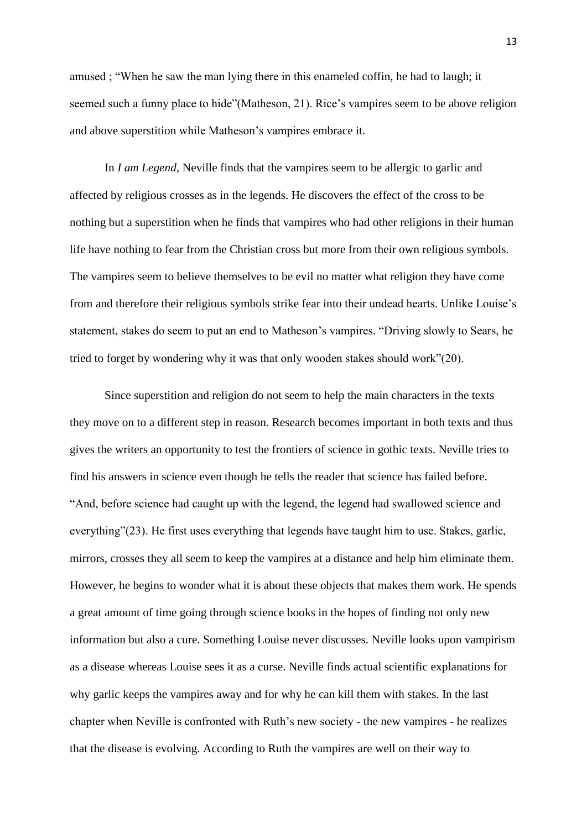amused; "When he saw the man lying there in this enameled coffin, he had to laugh; it seemed such a funny place to hide"(Matheson, 21). Rice's vampires seem to be above religion and above superstition while Matheson's vampires embrace it.

In *I am Legend,* Neville finds that the vampires seem to be allergic to garlic and affected by religious crosses as in the legends. He discovers the effect of the cross to be nothing but a superstition when he finds that vampires who had other religions in their human life have nothing to fear from the Christian cross but more from their own religious symbols. The vampires seem to believe themselves to be evil no matter what religion they have come from and therefore their religious symbols strike fear into their undead hearts. Unlike Louise's statement, stakes do seem to put an end to Matheson's vampires. "Driving slowly to Sears, he tried to forget by wondering why it was that only wooden stakes should work"(20).

Since superstition and religion do not seem to help the main characters in the texts they move on to a different step in reason. Research becomes important in both texts and thus gives the writers an opportunity to test the frontiers of science in gothic texts. Neville tries to find his answers in science even though he tells the reader that science has failed before. ―And, before science had caught up with the legend, the legend had swallowed science and everything"(23). He first uses everything that legends have taught him to use. Stakes, garlic, mirrors, crosses they all seem to keep the vampires at a distance and help him eliminate them. However, he begins to wonder what it is about these objects that makes them work. He spends a great amount of time going through science books in the hopes of finding not only new information but also a cure. Something Louise never discusses. Neville looks upon vampirism as a disease whereas Louise sees it as a curse. Neville finds actual scientific explanations for why garlic keeps the vampires away and for why he can kill them with stakes. In the last chapter when Neville is confronted with Ruth's new society - the new vampires - he realizes that the disease is evolving. According to Ruth the vampires are well on their way to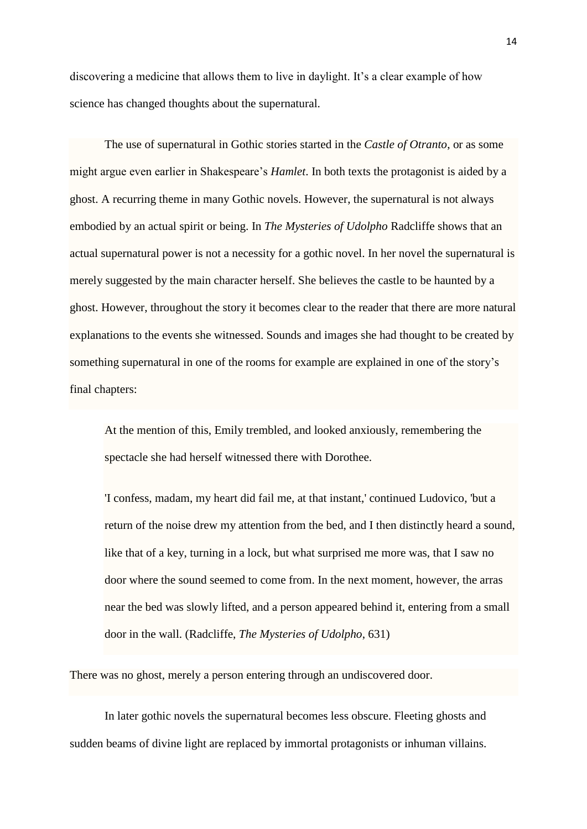discovering a medicine that allows them to live in daylight. It's a clear example of how science has changed thoughts about the supernatural.

The use of supernatural in Gothic stories started in the *Castle of Otranto*, or as some might argue even earlier in Shakespeare's *Hamlet*. In both texts the protagonist is aided by a ghost. A recurring theme in many Gothic novels. However, the supernatural is not always embodied by an actual spirit or being. In *The Mysteries of Udolpho* Radcliffe shows that an actual supernatural power is not a necessity for a gothic novel. In her novel the supernatural is merely suggested by the main character herself. She believes the castle to be haunted by a ghost. However, throughout the story it becomes clear to the reader that there are more natural explanations to the events she witnessed. Sounds and images she had thought to be created by something supernatural in one of the rooms for example are explained in one of the story's final chapters:

At the mention of this, Emily trembled, and looked anxiously, remembering the spectacle she had herself witnessed there with Dorothee.

'I confess, madam, my heart did fail me, at that instant,' continued Ludovico, 'but a return of the noise drew my attention from the bed, and I then distinctly heard a sound, like that of a key, turning in a lock, but what surprised me more was, that I saw no door where the sound seemed to come from. In the next moment, however, the arras near the bed was slowly lifted, and a person appeared behind it, entering from a small door in the wall. (Radcliffe, *The Mysteries of Udolpho*, 631)

There was no ghost, merely a person entering through an undiscovered door.

In later gothic novels the supernatural becomes less obscure. Fleeting ghosts and sudden beams of divine light are replaced by immortal protagonists or inhuman villains.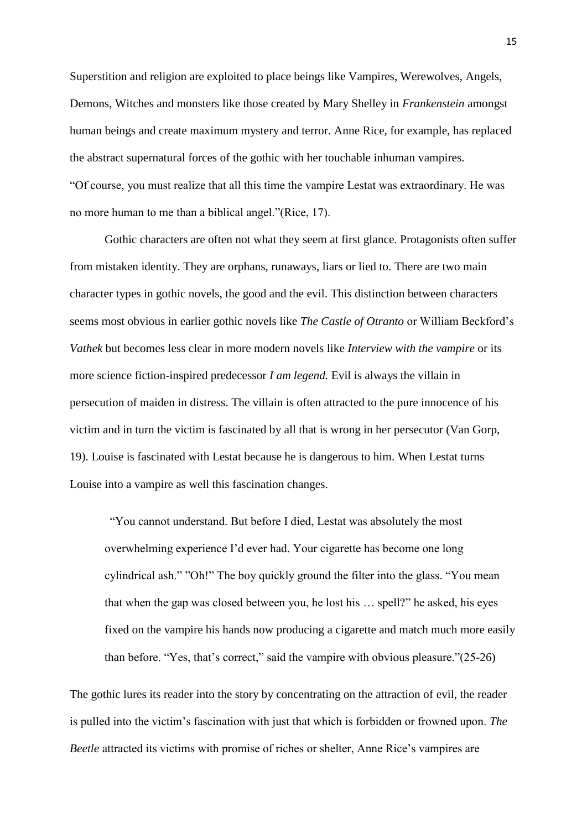Superstition and religion are exploited to place beings like Vampires, Werewolves, Angels, Demons, Witches and monsters like those created by Mary Shelley in *Frankenstein* amongst human beings and create maximum mystery and terror. Anne Rice, for example, has replaced the abstract supernatural forces of the gothic with her touchable inhuman vampires. ―Of course, you must realize that all this time the vampire Lestat was extraordinary. He was no more human to me than a biblical angel."(Rice, 17).

Gothic characters are often not what they seem at first glance. Protagonists often suffer from mistaken identity. They are orphans, runaways, liars or lied to. There are two main character types in gothic novels, the good and the evil. This distinction between characters seems most obvious in earlier gothic novels like *The Castle of Otranto* or William Beckford's *Vathek* but becomes less clear in more modern novels like *Interview with the vampire* or its more science fiction-inspired predecessor *I am legend.* Evil is always the villain in persecution of maiden in distress. The villain is often attracted to the pure innocence of his victim and in turn the victim is fascinated by all that is wrong in her persecutor (Van Gorp, 19). Louise is fascinated with Lestat because he is dangerous to him. When Lestat turns Louise into a vampire as well this fascination changes.

―You cannot understand. But before I died, Lestat was absolutely the most overwhelming experience I'd ever had. Your cigarette has become one long cylindrical ash." "Oh!" The boy quickly ground the filter into the glass. "You mean that when the gap was closed between you, he lost his  $\ldots$  spell?" he asked, his eyes fixed on the vampire his hands now producing a cigarette and match much more easily than before. "Yes, that's correct," said the vampire with obvious pleasure." $(25-26)$ 

The gothic lures its reader into the story by concentrating on the attraction of evil, the reader is pulled into the victim's fascination with just that which is forbidden or frowned upon. *The Beetle* attracted its victims with promise of riches or shelter, Anne Rice's vampires are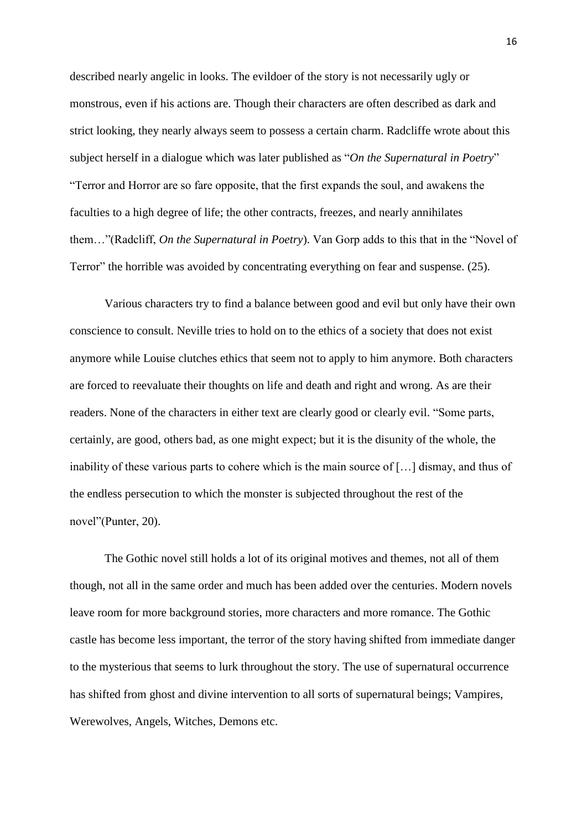described nearly angelic in looks. The evildoer of the story is not necessarily ugly or monstrous, even if his actions are. Though their characters are often described as dark and strict looking, they nearly always seem to possess a certain charm. Radcliffe wrote about this subject herself in a dialogue which was later published as "On the Supernatural in Poetry" ―Terror and Horror are so fare opposite, that the first expands the soul, and awakens the faculties to a high degree of life; the other contracts, freezes, and nearly annihilates them..."(Radcliff, *On the Supernatural in Poetry*). Van Gorp adds to this that in the "Novel of Terror" the horrible was avoided by concentrating everything on fear and suspense. (25).

Various characters try to find a balance between good and evil but only have their own conscience to consult. Neville tries to hold on to the ethics of a society that does not exist anymore while Louise clutches ethics that seem not to apply to him anymore. Both characters are forced to reevaluate their thoughts on life and death and right and wrong. As are their readers. None of the characters in either text are clearly good or clearly evil. "Some parts, certainly, are good, others bad, as one might expect; but it is the disunity of the whole, the inability of these various parts to cohere which is the main source of […] dismay, and thus of the endless persecution to which the monster is subjected throughout the rest of the novel"(Punter, 20).

The Gothic novel still holds a lot of its original motives and themes, not all of them though, not all in the same order and much has been added over the centuries. Modern novels leave room for more background stories, more characters and more romance. The Gothic castle has become less important, the terror of the story having shifted from immediate danger to the mysterious that seems to lurk throughout the story. The use of supernatural occurrence has shifted from ghost and divine intervention to all sorts of supernatural beings; Vampires, Werewolves, Angels, Witches, Demons etc.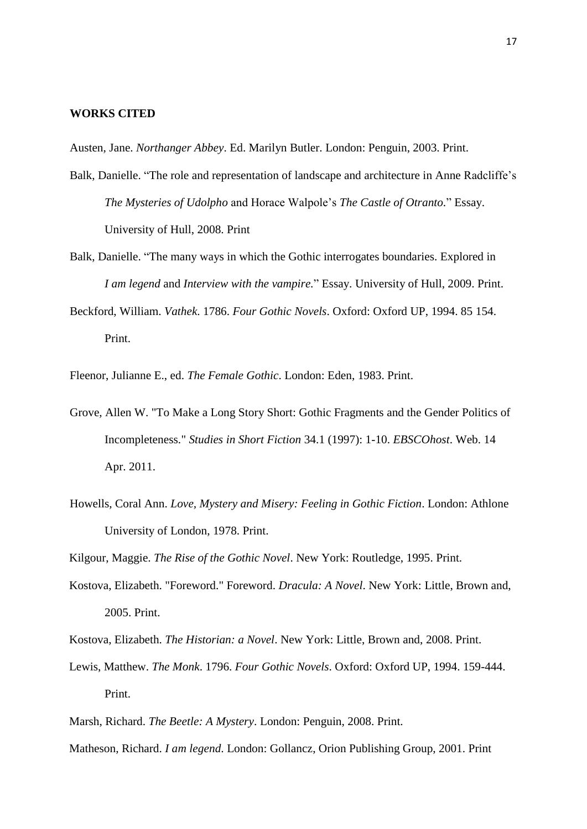## **WORKS CITED**

Austen, Jane. *Northanger Abbey*. Ed. Marilyn Butler. London: Penguin, 2003. Print.

- Balk, Danielle. "The role and representation of landscape and architecture in Anne Radcliffe's *The Mysteries of Udolpho* and Horace Walpole's *The Castle of Otranto.*‖ Essay. University of Hull, 2008. Print
- Balk, Danielle. "The many ways in which the Gothic interrogates boundaries. Explored in *I am legend* and *Interview with the vampire.*‖ Essay. University of Hull, 2009. Print.
- Beckford, William. *Vathek*. 1786. *Four Gothic Novels*. Oxford: Oxford UP, 1994. 85 154. Print.

Fleenor, Julianne E., ed. *The Female Gothic*. London: Eden, 1983. Print.

- Grove, Allen W. "To Make a Long Story Short: Gothic Fragments and the Gender Politics of Incompleteness." *Studies in Short Fiction* 34.1 (1997): 1-10. *EBSCOhost*. Web. 14 Apr. 2011.
- Howells, Coral Ann. *Love, Mystery and Misery: Feeling in Gothic Fiction*. London: Athlone University of London, 1978. Print.

Kilgour, Maggie. *The Rise of the Gothic Novel*. New York: Routledge, 1995. Print.

- Kostova, Elizabeth. "Foreword." Foreword. *Dracula: A Novel*. New York: Little, Brown and, 2005. Print.
- Kostova, Elizabeth. *The Historian: a Novel*. New York: Little, Brown and, 2008. Print.
- Lewis, Matthew. *The Monk*. 1796. *Four Gothic Novels*. Oxford: Oxford UP, 1994. 159-444. Print.
- Marsh, Richard. *The Beetle: A Mystery*. London: Penguin, 2008. Print.
- Matheson, Richard. *I am legend*. London: Gollancz, Orion Publishing Group, 2001. Print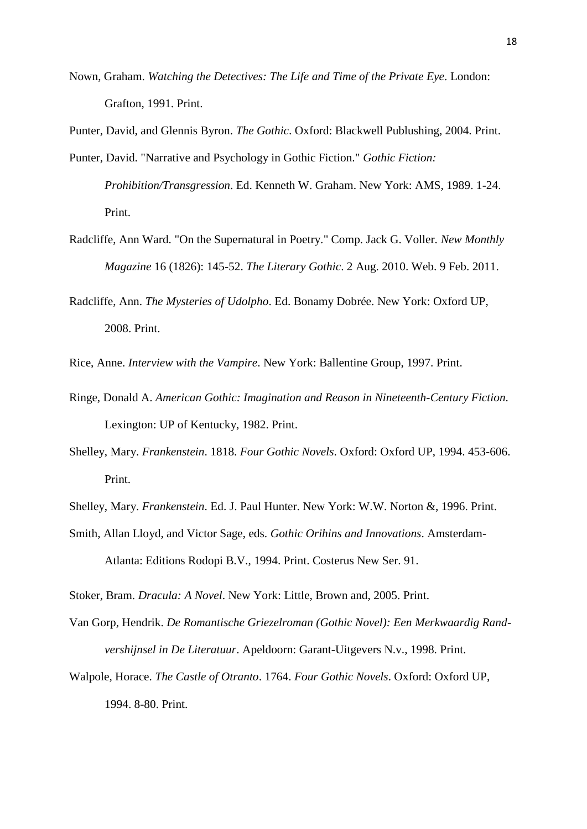Nown, Graham. *Watching the Detectives: The Life and Time of the Private Eye*. London: Grafton, 1991. Print.

Punter, David, and Glennis Byron. *The Gothic*. Oxford: Blackwell Publushing, 2004. Print. Punter, David. "Narrative and Psychology in Gothic Fiction." *Gothic Fiction:* 

*Prohibition/Transgression*. Ed. Kenneth W. Graham. New York: AMS, 1989. 1-24. Print.

Radcliffe, Ann Ward. "On the Supernatural in Poetry." Comp. Jack G. Voller. *New Monthly Magazine* 16 (1826): 145-52. *The Literary Gothic*. 2 Aug. 2010. Web. 9 Feb. 2011.

Radcliffe, Ann. *The Mysteries of Udolpho*. Ed. Bonamy Dobrée. New York: Oxford UP, 2008. Print.

Rice, Anne. *Interview with the Vampire*. New York: Ballentine Group, 1997. Print.

- Ringe, Donald A. *American Gothic: Imagination and Reason in Nineteenth-Century Fiction*. Lexington: UP of Kentucky, 1982. Print.
- Shelley, Mary. *Frankenstein*. 1818. *Four Gothic Novels*. Oxford: Oxford UP, 1994. 453-606. Print.

Shelley, Mary. *Frankenstein*. Ed. J. Paul Hunter. New York: W.W. Norton &, 1996. Print.

Smith, Allan Lloyd, and Victor Sage, eds. *Gothic Orihins and Innovations*. Amsterdam-Atlanta: Editions Rodopi B.V., 1994. Print. Costerus New Ser. 91.

Stoker, Bram. *Dracula: A Novel*. New York: Little, Brown and, 2005. Print.

Van Gorp, Hendrik. *De Romantische Griezelroman (Gothic Novel): Een Merkwaardig Randvershijnsel in De Literatuur*. Apeldoorn: Garant-Uitgevers N.v., 1998. Print.

Walpole, Horace. *The Castle of Otranto*. 1764. *Four Gothic Novels*. Oxford: Oxford UP, 1994. 8-80. Print.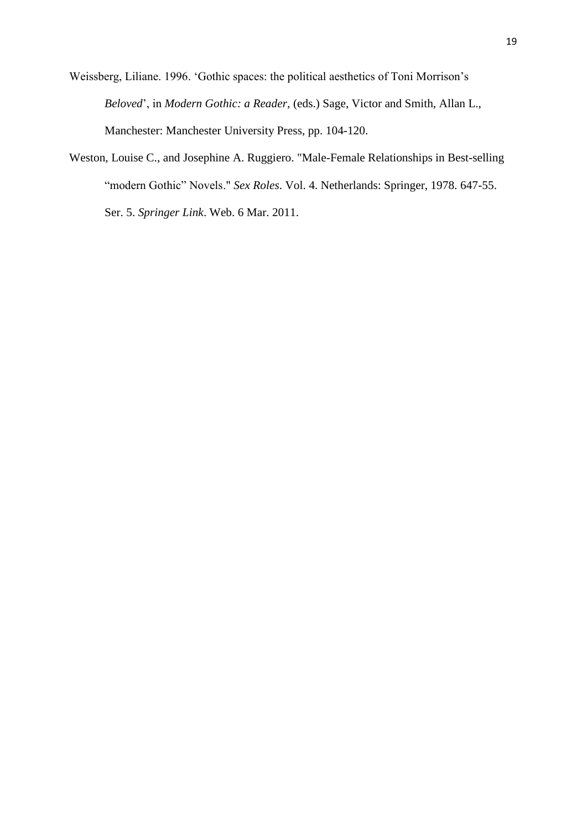Weissberg, Liliane. 1996. ‗Gothic spaces: the political aesthetics of Toni Morrison's *Beloved*', in *Modern Gothic: a Reader,* (eds.) Sage, Victor and Smith, Allan L., Manchester: Manchester University Press, pp. 104-120.

Weston, Louise C., and Josephine A. Ruggiero. "Male-Female Relationships in Best-selling "modern Gothic" Novels." *Sex Roles*. Vol. 4. Netherlands: Springer, 1978. 647-55. Ser. 5. *Springer Link*. Web. 6 Mar. 2011.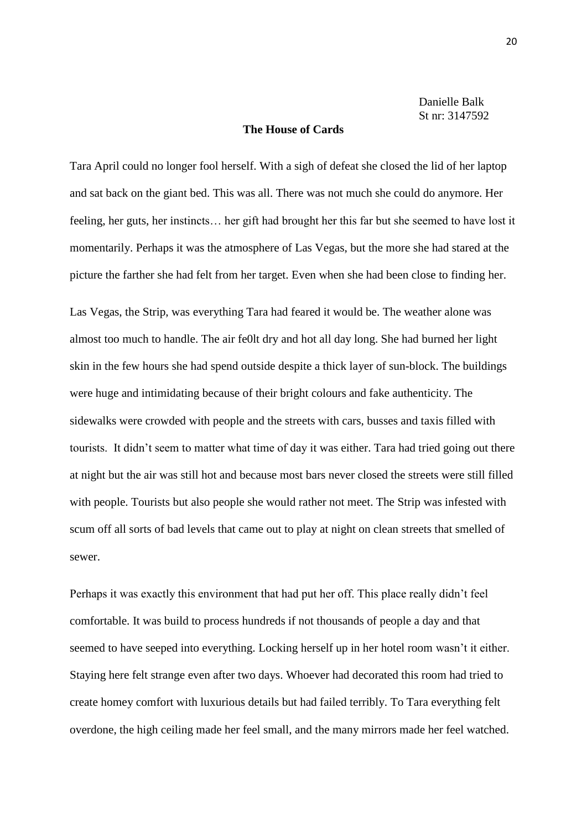Danielle Balk St nr: 3147592

### **The House of Cards**

Tara April could no longer fool herself. With a sigh of defeat she closed the lid of her laptop and sat back on the giant bed. This was all. There was not much she could do anymore. Her feeling, her guts, her instincts… her gift had brought her this far but she seemed to have lost it momentarily. Perhaps it was the atmosphere of Las Vegas, but the more she had stared at the picture the farther she had felt from her target. Even when she had been close to finding her.

Las Vegas, the Strip, was everything Tara had feared it would be. The weather alone was almost too much to handle. The air fe0lt dry and hot all day long. She had burned her light skin in the few hours she had spend outside despite a thick layer of sun-block. The buildings were huge and intimidating because of their bright colours and fake authenticity. The sidewalks were crowded with people and the streets with cars, busses and taxis filled with tourists. It didn't seem to matter what time of day it was either. Tara had tried going out there at night but the air was still hot and because most bars never closed the streets were still filled with people. Tourists but also people she would rather not meet. The Strip was infested with scum off all sorts of bad levels that came out to play at night on clean streets that smelled of sewer.

Perhaps it was exactly this environment that had put her off. This place really didn't feel comfortable. It was build to process hundreds if not thousands of people a day and that seemed to have seeped into everything. Locking herself up in her hotel room wasn't it either. Staying here felt strange even after two days. Whoever had decorated this room had tried to create homey comfort with luxurious details but had failed terribly. To Tara everything felt overdone, the high ceiling made her feel small, and the many mirrors made her feel watched.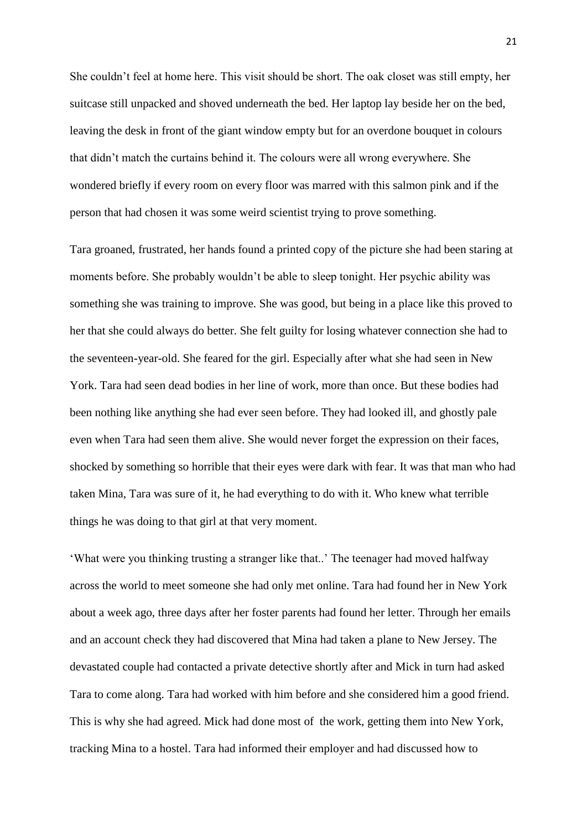She couldn't feel at home here. This visit should be short. The oak closet was still empty, her suitcase still unpacked and shoved underneath the bed. Her laptop lay beside her on the bed, leaving the desk in front of the giant window empty but for an overdone bouquet in colours that didn't match the curtains behind it. The colours were all wrong everywhere. She wondered briefly if every room on every floor was marred with this salmon pink and if the person that had chosen it was some weird scientist trying to prove something.

Tara groaned, frustrated, her hands found a printed copy of the picture she had been staring at moments before. She probably wouldn't be able to sleep tonight. Her psychic ability was something she was training to improve. She was good, but being in a place like this proved to her that she could always do better. She felt guilty for losing whatever connection she had to the seventeen-year-old. She feared for the girl. Especially after what she had seen in New York. Tara had seen dead bodies in her line of work, more than once. But these bodies had been nothing like anything she had ever seen before. They had looked ill, and ghostly pale even when Tara had seen them alive. She would never forget the expression on their faces, shocked by something so horrible that their eyes were dark with fear. It was that man who had taken Mina, Tara was sure of it, he had everything to do with it. Who knew what terrible things he was doing to that girl at that very moment.

‗What were you thinking trusting a stranger like that..' The teenager had moved halfway across the world to meet someone she had only met online. Tara had found her in New York about a week ago, three days after her foster parents had found her letter. Through her emails and an account check they had discovered that Mina had taken a plane to New Jersey. The devastated couple had contacted a private detective shortly after and Mick in turn had asked Tara to come along. Tara had worked with him before and she considered him a good friend. This is why she had agreed. Mick had done most of the work, getting them into New York, tracking Mina to a hostel. Tara had informed their employer and had discussed how to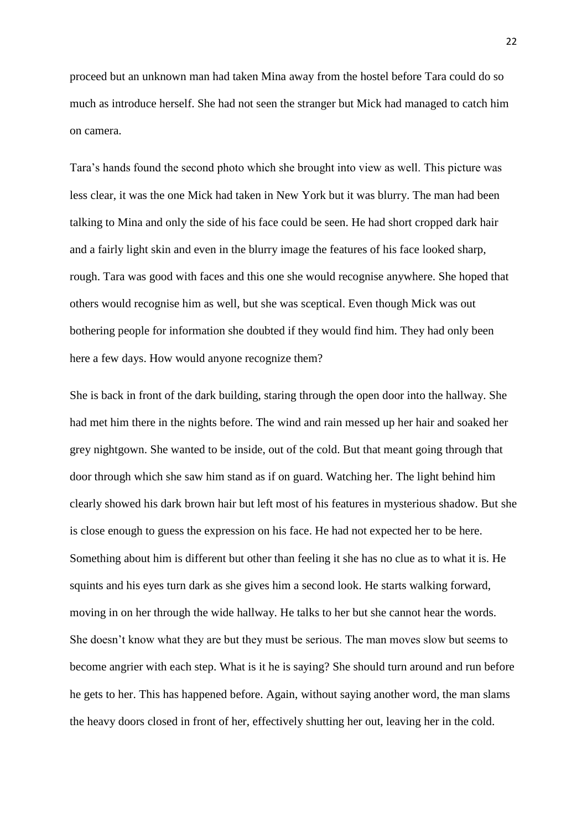proceed but an unknown man had taken Mina away from the hostel before Tara could do so much as introduce herself. She had not seen the stranger but Mick had managed to catch him on camera.

Tara's hands found the second photo which she brought into view as well. This picture was less clear, it was the one Mick had taken in New York but it was blurry. The man had been talking to Mina and only the side of his face could be seen. He had short cropped dark hair and a fairly light skin and even in the blurry image the features of his face looked sharp, rough. Tara was good with faces and this one she would recognise anywhere. She hoped that others would recognise him as well, but she was sceptical. Even though Mick was out bothering people for information she doubted if they would find him. They had only been here a few days. How would anyone recognize them?

She is back in front of the dark building, staring through the open door into the hallway. She had met him there in the nights before. The wind and rain messed up her hair and soaked her grey nightgown. She wanted to be inside, out of the cold. But that meant going through that door through which she saw him stand as if on guard. Watching her. The light behind him clearly showed his dark brown hair but left most of his features in mysterious shadow. But she is close enough to guess the expression on his face. He had not expected her to be here. Something about him is different but other than feeling it she has no clue as to what it is. He squints and his eyes turn dark as she gives him a second look. He starts walking forward, moving in on her through the wide hallway. He talks to her but she cannot hear the words. She doesn't know what they are but they must be serious. The man moves slow but seems to become angrier with each step. What is it he is saying? She should turn around and run before he gets to her. This has happened before. Again, without saying another word, the man slams the heavy doors closed in front of her, effectively shutting her out, leaving her in the cold.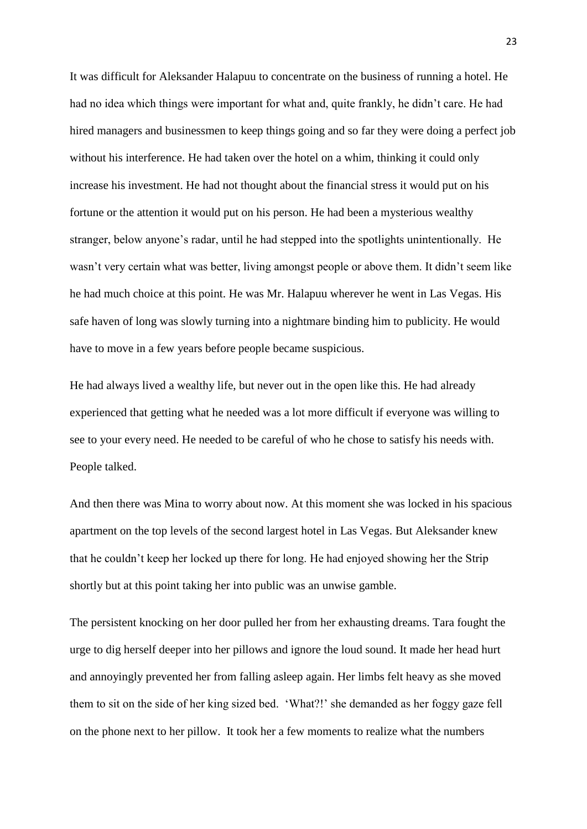It was difficult for Aleksander Halapuu to concentrate on the business of running a hotel. He had no idea which things were important for what and, quite frankly, he didn't care. He had hired managers and businessmen to keep things going and so far they were doing a perfect job without his interference. He had taken over the hotel on a whim, thinking it could only increase his investment. He had not thought about the financial stress it would put on his fortune or the attention it would put on his person. He had been a mysterious wealthy stranger, below anyone's radar, until he had stepped into the spotlights unintentionally. He wasn't very certain what was better, living amongst people or above them. It didn't seem like he had much choice at this point. He was Mr. Halapuu wherever he went in Las Vegas. His safe haven of long was slowly turning into a nightmare binding him to publicity. He would have to move in a few years before people became suspicious.

He had always lived a wealthy life, but never out in the open like this. He had already experienced that getting what he needed was a lot more difficult if everyone was willing to see to your every need. He needed to be careful of who he chose to satisfy his needs with. People talked.

And then there was Mina to worry about now. At this moment she was locked in his spacious apartment on the top levels of the second largest hotel in Las Vegas. But Aleksander knew that he couldn't keep her locked up there for long. He had enjoyed showing her the Strip shortly but at this point taking her into public was an unwise gamble.

The persistent knocking on her door pulled her from her exhausting dreams. Tara fought the urge to dig herself deeper into her pillows and ignore the loud sound. It made her head hurt and annoyingly prevented her from falling asleep again. Her limbs felt heavy as she moved them to sit on the side of her king sized bed. ‗What?!' she demanded as her foggy gaze fell on the phone next to her pillow. It took her a few moments to realize what the numbers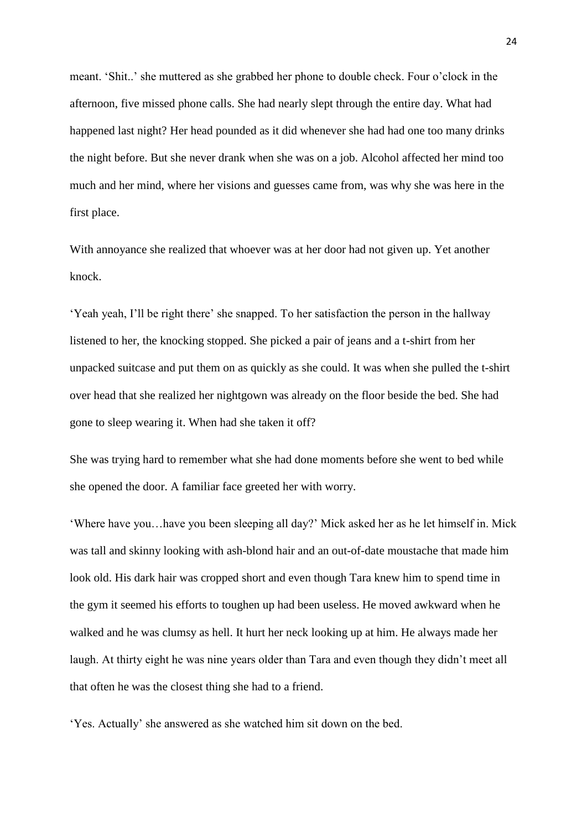meant. ‗Shit..' she muttered as she grabbed her phone to double check. Four o'clock in the afternoon, five missed phone calls. She had nearly slept through the entire day. What had happened last night? Her head pounded as it did whenever she had had one too many drinks the night before. But she never drank when she was on a job. Alcohol affected her mind too much and her mind, where her visions and guesses came from, was why she was here in the first place.

With annoyance she realized that whoever was at her door had not given up. Yet another knock.

‗Yeah yeah, I'll be right there' she snapped. To her satisfaction the person in the hallway listened to her, the knocking stopped. She picked a pair of jeans and a t-shirt from her unpacked suitcase and put them on as quickly as she could. It was when she pulled the t-shirt over head that she realized her nightgown was already on the floor beside the bed. She had gone to sleep wearing it. When had she taken it off?

She was trying hard to remember what she had done moments before she went to bed while she opened the door. A familiar face greeted her with worry.

‗Where have you…have you been sleeping all day?' Mick asked her as he let himself in. Mick was tall and skinny looking with ash-blond hair and an out-of-date moustache that made him look old. His dark hair was cropped short and even though Tara knew him to spend time in the gym it seemed his efforts to toughen up had been useless. He moved awkward when he walked and he was clumsy as hell. It hurt her neck looking up at him. He always made her laugh. At thirty eight he was nine years older than Tara and even though they didn't meet all that often he was the closest thing she had to a friend.

‗Yes. Actually' she answered as she watched him sit down on the bed.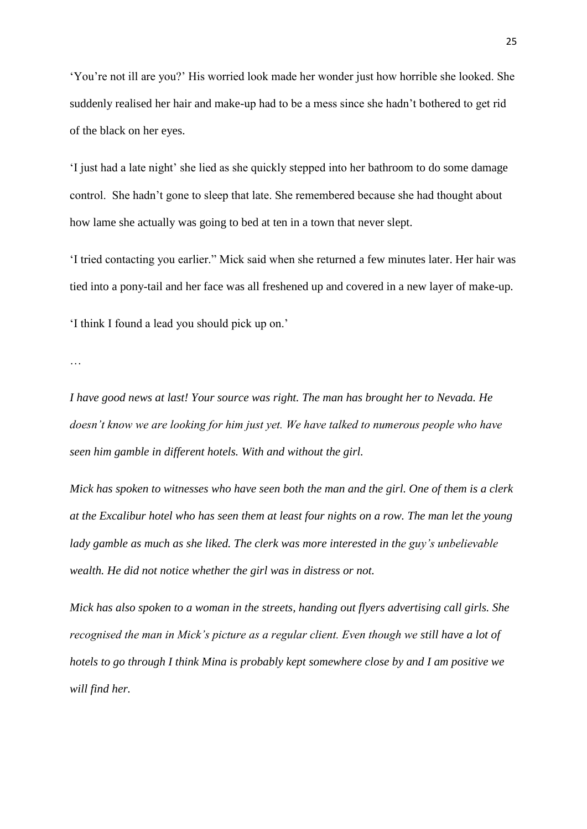‗You're not ill are you?' His worried look made her wonder just how horrible she looked. She suddenly realised her hair and make-up had to be a mess since she hadn't bothered to get rid of the black on her eyes.

‗I just had a late night' she lied as she quickly stepped into her bathroom to do some damage control. She hadn't gone to sleep that late. She remembered because she had thought about how lame she actually was going to bed at ten in a town that never slept.

‗I tried contacting you earlier.‖ Mick said when she returned a few minutes later. Her hair was tied into a pony-tail and her face was all freshened up and covered in a new layer of make-up. ‗I think I found a lead you should pick up on.'

…

*I have good news at last! Your source was right. The man has brought her to Nevada. He doesn't know we are looking for him just yet. We have talked to numerous people who have seen him gamble in different hotels. With and without the girl.* 

*Mick has spoken to witnesses who have seen both the man and the girl. One of them is a clerk at the Excalibur hotel who has seen them at least four nights on a row. The man let the young lady gamble as much as she liked. The clerk was more interested in the guy's unbelievable wealth. He did not notice whether the girl was in distress or not.* 

*Mick has also spoken to a woman in the streets, handing out flyers advertising call girls. She recognised the man in Mick's picture as a regular client. Even though we still have a lot of hotels to go through I think Mina is probably kept somewhere close by and I am positive we will find her.*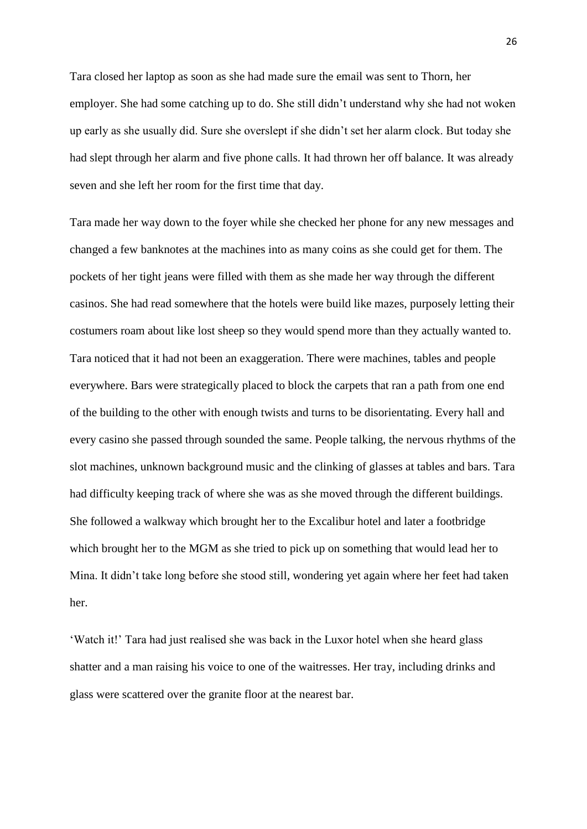Tara closed her laptop as soon as she had made sure the email was sent to Thorn, her employer. She had some catching up to do. She still didn't understand why she had not woken up early as she usually did. Sure she overslept if she didn't set her alarm clock. But today she had slept through her alarm and five phone calls. It had thrown her off balance. It was already seven and she left her room for the first time that day.

Tara made her way down to the foyer while she checked her phone for any new messages and changed a few banknotes at the machines into as many coins as she could get for them. The pockets of her tight jeans were filled with them as she made her way through the different casinos. She had read somewhere that the hotels were build like mazes, purposely letting their costumers roam about like lost sheep so they would spend more than they actually wanted to. Tara noticed that it had not been an exaggeration. There were machines, tables and people everywhere. Bars were strategically placed to block the carpets that ran a path from one end of the building to the other with enough twists and turns to be disorientating. Every hall and every casino she passed through sounded the same. People talking, the nervous rhythms of the slot machines, unknown background music and the clinking of glasses at tables and bars. Tara had difficulty keeping track of where she was as she moved through the different buildings. She followed a walkway which brought her to the Excalibur hotel and later a footbridge which brought her to the MGM as she tried to pick up on something that would lead her to Mina. It didn't take long before she stood still, wondering yet again where her feet had taken her.

‗Watch it!' Tara had just realised she was back in the Luxor hotel when she heard glass shatter and a man raising his voice to one of the waitresses. Her tray, including drinks and glass were scattered over the granite floor at the nearest bar.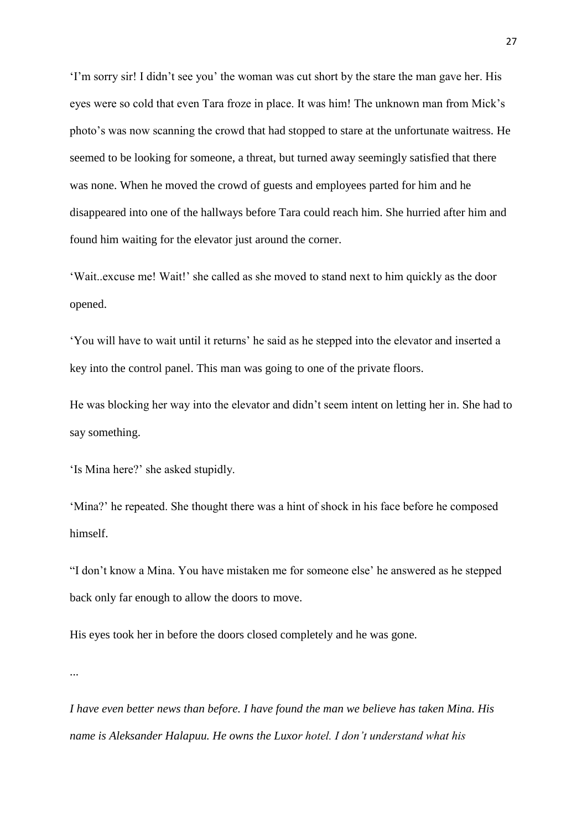‗I'm sorry sir! I didn't see you' the woman was cut short by the stare the man gave her. His eyes were so cold that even Tara froze in place. It was him! The unknown man from Mick's photo's was now scanning the crowd that had stopped to stare at the unfortunate waitress. He seemed to be looking for someone, a threat, but turned away seemingly satisfied that there was none. When he moved the crowd of guests and employees parted for him and he disappeared into one of the hallways before Tara could reach him. She hurried after him and found him waiting for the elevator just around the corner.

‗Wait..excuse me! Wait!' she called as she moved to stand next to him quickly as the door opened.

‗You will have to wait until it returns' he said as he stepped into the elevator and inserted a key into the control panel. This man was going to one of the private floors.

He was blocking her way into the elevator and didn't seem intent on letting her in. She had to say something.

'Is Mina here?' she asked stupidly.

‗Mina?' he repeated. She thought there was a hint of shock in his face before he composed himself.

"I don't know a Mina. You have mistaken me for someone else' he answered as he stepped back only far enough to allow the doors to move.

His eyes took her in before the doors closed completely and he was gone.

...

*I have even better news than before. I have found the man we believe has taken Mina. His name is Aleksander Halapuu. He owns the Luxor hotel. I don't understand what his*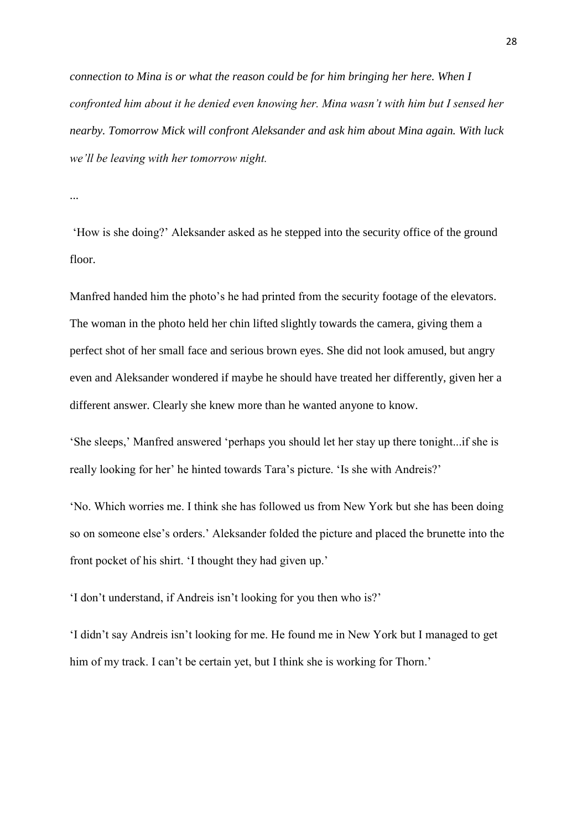*connection to Mina is or what the reason could be for him bringing her here. When I confronted him about it he denied even knowing her. Mina wasn't with him but I sensed her nearby. Tomorrow Mick will confront Aleksander and ask him about Mina again. With luck we'll be leaving with her tomorrow night.*

...

‗How is she doing?' Aleksander asked as he stepped into the security office of the ground floor.

Manfred handed him the photo's he had printed from the security footage of the elevators. The woman in the photo held her chin lifted slightly towards the camera, giving them a perfect shot of her small face and serious brown eyes. She did not look amused, but angry even and Aleksander wondered if maybe he should have treated her differently, given her a different answer. Clearly she knew more than he wanted anyone to know.

‗She sleeps,' Manfred answered ‗perhaps you should let her stay up there tonight...if she is really looking for her' he hinted towards Tara's picture. 'Is she with Andreis?'

‗No. Which worries me. I think she has followed us from New York but she has been doing so on someone else's orders.' Aleksander folded the picture and placed the brunette into the front pocket of his shirt. 'I thought they had given up.'

‗I don't understand, if Andreis isn't looking for you then who is?'

‗I didn't say Andreis isn't looking for me. He found me in New York but I managed to get him of my track. I can't be certain yet, but I think she is working for Thorn.'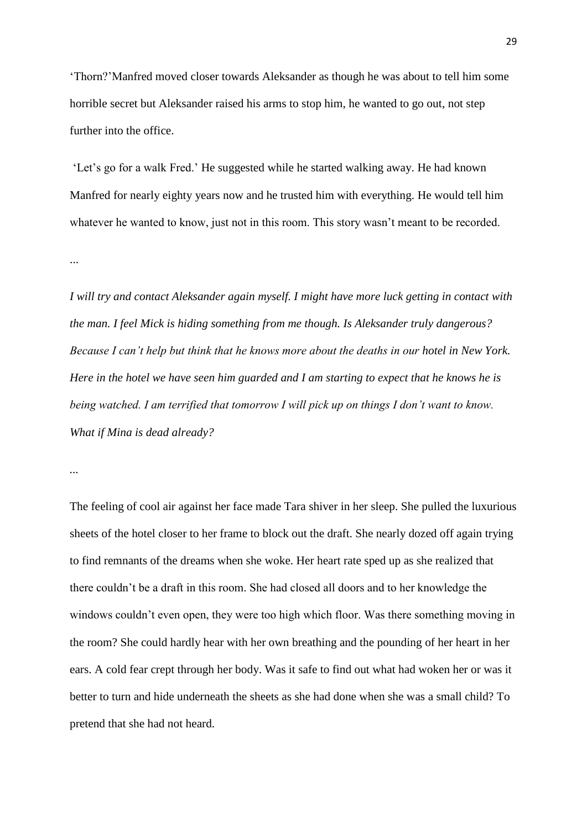‗Thorn?'Manfred moved closer towards Aleksander as though he was about to tell him some horrible secret but Aleksander raised his arms to stop him, he wanted to go out, not step further into the office.

‗Let's go for a walk Fred.' He suggested while he started walking away. He had known Manfred for nearly eighty years now and he trusted him with everything. He would tell him whatever he wanted to know, just not in this room. This story wasn't meant to be recorded.

...

*I will try and contact Aleksander again myself. I might have more luck getting in contact with the man. I feel Mick is hiding something from me though. Is Aleksander truly dangerous? Because I can't help but think that he knows more about the deaths in our hotel in New York. Here in the hotel we have seen him guarded and I am starting to expect that he knows he is being watched. I am terrified that tomorrow I will pick up on things I don't want to know. What if Mina is dead already?* 

*...*

The feeling of cool air against her face made Tara shiver in her sleep. She pulled the luxurious sheets of the hotel closer to her frame to block out the draft. She nearly dozed off again trying to find remnants of the dreams when she woke. Her heart rate sped up as she realized that there couldn't be a draft in this room. She had closed all doors and to her knowledge the windows couldn't even open, they were too high which floor. Was there something moving in the room? She could hardly hear with her own breathing and the pounding of her heart in her ears. A cold fear crept through her body. Was it safe to find out what had woken her or was it better to turn and hide underneath the sheets as she had done when she was a small child? To pretend that she had not heard.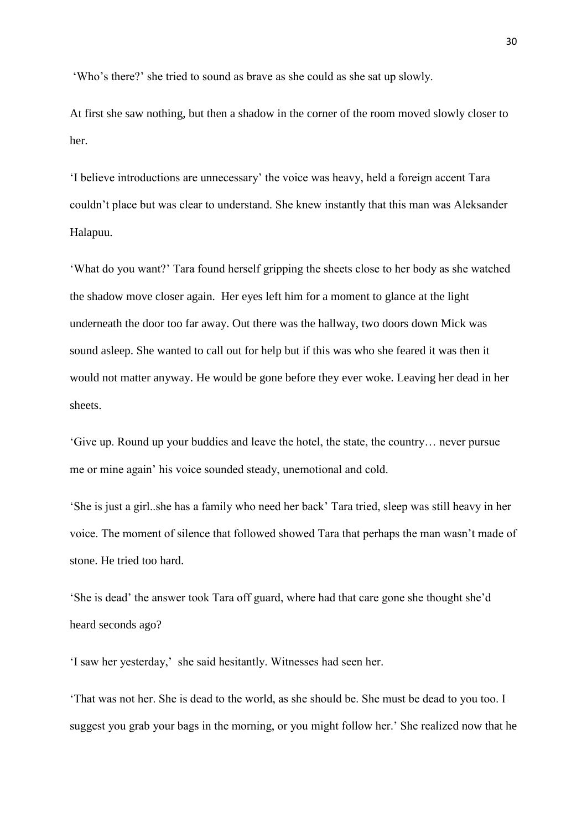‗Who's there?' she tried to sound as brave as she could as she sat up slowly.

At first she saw nothing, but then a shadow in the corner of the room moved slowly closer to her.

‗I believe introductions are unnecessary' the voice was heavy, held a foreign accent Tara couldn't place but was clear to understand. She knew instantly that this man was Aleksander Halapuu.

‗What do you want?' Tara found herself gripping the sheets close to her body as she watched the shadow move closer again. Her eyes left him for a moment to glance at the light underneath the door too far away. Out there was the hallway, two doors down Mick was sound asleep. She wanted to call out for help but if this was who she feared it was then it would not matter anyway. He would be gone before they ever woke. Leaving her dead in her sheets.

‗Give up. Round up your buddies and leave the hotel, the state, the country… never pursue me or mine again' his voice sounded steady, unemotional and cold.

‗She is just a girl..she has a family who need her back' Tara tried, sleep was still heavy in her voice. The moment of silence that followed showed Tara that perhaps the man wasn't made of stone. He tried too hard.

‗She is dead' the answer took Tara off guard, where had that care gone she thought she'd heard seconds ago?

‗I saw her yesterday,' she said hesitantly. Witnesses had seen her.

‗That was not her. She is dead to the world, as she should be. She must be dead to you too. I suggest you grab your bags in the morning, or you might follow her.' She realized now that he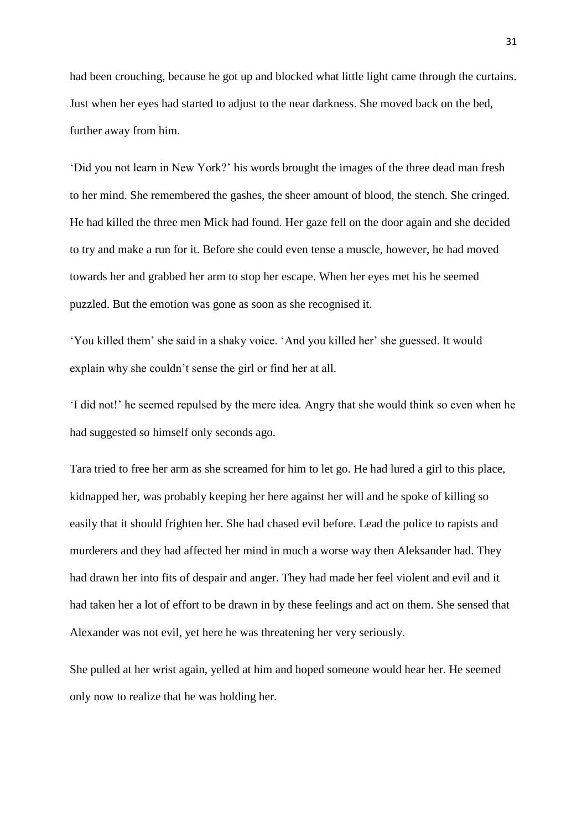had been crouching, because he got up and blocked what little light came through the curtains. Just when her eyes had started to adjust to the near darkness. She moved back on the bed, further away from him.

‗Did you not learn in New York?' his words brought the images of the three dead man fresh to her mind. She remembered the gashes, the sheer amount of blood, the stench. She cringed. He had killed the three men Mick had found. Her gaze fell on the door again and she decided to try and make a run for it. Before she could even tense a muscle, however, he had moved towards her and grabbed her arm to stop her escape. When her eyes met his he seemed puzzled. But the emotion was gone as soon as she recognised it.

‗You killed them' she said in a shaky voice. ‗And you killed her' she guessed. It would explain why she couldn't sense the girl or find her at all.

‗I did not!' he seemed repulsed by the mere idea. Angry that she would think so even when he had suggested so himself only seconds ago.

Tara tried to free her arm as she screamed for him to let go. He had lured a girl to this place, kidnapped her, was probably keeping her here against her will and he spoke of killing so easily that it should frighten her. She had chased evil before. Lead the police to rapists and murderers and they had affected her mind in much a worse way then Aleksander had. They had drawn her into fits of despair and anger. They had made her feel violent and evil and it had taken her a lot of effort to be drawn in by these feelings and act on them. She sensed that Alexander was not evil, yet here he was threatening her very seriously.

She pulled at her wrist again, yelled at him and hoped someone would hear her. He seemed only now to realize that he was holding her.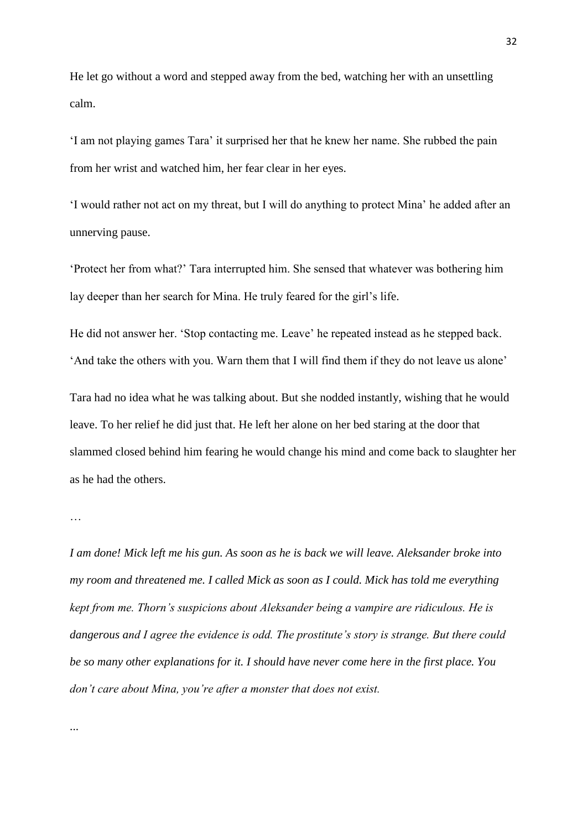He let go without a word and stepped away from the bed, watching her with an unsettling calm.

‗I am not playing games Tara' it surprised her that he knew her name. She rubbed the pain from her wrist and watched him, her fear clear in her eyes.

‗I would rather not act on my threat, but I will do anything to protect Mina' he added after an unnerving pause.

‗Protect her from what?' Tara interrupted him. She sensed that whatever was bothering him lay deeper than her search for Mina. He truly feared for the girl's life.

He did not answer her. 'Stop contacting me. Leave' he repeated instead as he stepped back. ‗And take the others with you. Warn them that I will find them if they do not leave us alone'

Tara had no idea what he was talking about. But she nodded instantly, wishing that he would leave. To her relief he did just that. He left her alone on her bed staring at the door that slammed closed behind him fearing he would change his mind and come back to slaughter her as he had the others.

…

*I am done! Mick left me his gun. As soon as he is back we will leave. Aleksander broke into my room and threatened me. I called Mick as soon as I could. Mick has told me everything kept from me. Thorn's suspicions about Aleksander being a vampire are ridiculous. He is dangerous and I agree the evidence is odd. The prostitute's story is strange. But there could be so many other explanations for it. I should have never come here in the first place. You don't care about Mina, you're after a monster that does not exist.*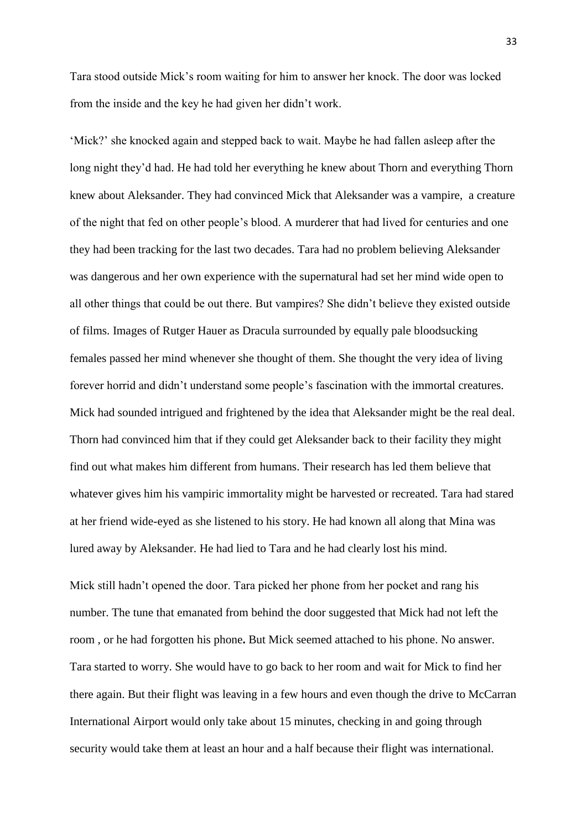Tara stood outside Mick's room waiting for him to answer her knock. The door was locked from the inside and the key he had given her didn't work.

‗Mick?' she knocked again and stepped back to wait. Maybe he had fallen asleep after the long night they'd had. He had told her everything he knew about Thorn and everything Thorn knew about Aleksander. They had convinced Mick that Aleksander was a vampire, a creature of the night that fed on other people's blood. A murderer that had lived for centuries and one they had been tracking for the last two decades. Tara had no problem believing Aleksander was dangerous and her own experience with the supernatural had set her mind wide open to all other things that could be out there. But vampires? She didn't believe they existed outside of films. Images of Rutger Hauer as Dracula surrounded by equally pale bloodsucking females passed her mind whenever she thought of them. She thought the very idea of living forever horrid and didn't understand some people's fascination with the immortal creatures. Mick had sounded intrigued and frightened by the idea that Aleksander might be the real deal. Thorn had convinced him that if they could get Aleksander back to their facility they might find out what makes him different from humans. Their research has led them believe that whatever gives him his vampiric immortality might be harvested or recreated. Tara had stared at her friend wide-eyed as she listened to his story. He had known all along that Mina was lured away by Aleksander. He had lied to Tara and he had clearly lost his mind.

Mick still hadn't opened the door. Tara picked her phone from her pocket and rang his number. The tune that emanated from behind the door suggested that Mick had not left the room , or he had forgotten his phone**.** But Mick seemed attached to his phone. No answer. Tara started to worry. She would have to go back to her room and wait for Mick to find her there again. But their flight was leaving in a few hours and even though the drive to McCarran International Airport would only take about 15 minutes, checking in and going through security would take them at least an hour and a half because their flight was international.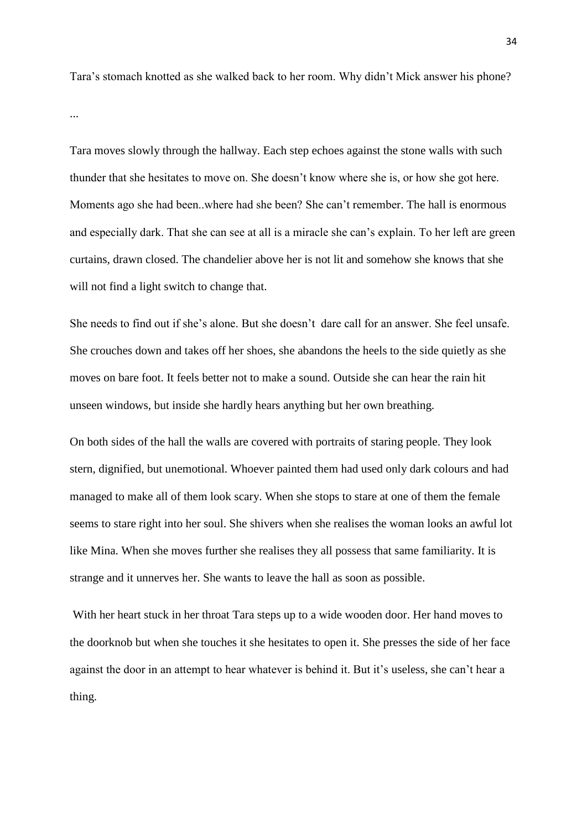Tara's stomach knotted as she walked back to her room. Why didn't Mick answer his phone?

...

Tara moves slowly through the hallway. Each step echoes against the stone walls with such thunder that she hesitates to move on. She doesn't know where she is, or how she got here. Moments ago she had been..where had she been? She can't remember. The hall is enormous and especially dark. That she can see at all is a miracle she can's explain. To her left are green curtains, drawn closed. The chandelier above her is not lit and somehow she knows that she will not find a light switch to change that.

She needs to find out if she's alone. But she doesn't dare call for an answer. She feel unsafe. She crouches down and takes off her shoes, she abandons the heels to the side quietly as she moves on bare foot. It feels better not to make a sound. Outside she can hear the rain hit unseen windows, but inside she hardly hears anything but her own breathing.

On both sides of the hall the walls are covered with portraits of staring people. They look stern, dignified, but unemotional. Whoever painted them had used only dark colours and had managed to make all of them look scary. When she stops to stare at one of them the female seems to stare right into her soul. She shivers when she realises the woman looks an awful lot like Mina. When she moves further she realises they all possess that same familiarity. It is strange and it unnerves her. She wants to leave the hall as soon as possible.

With her heart stuck in her throat Tara steps up to a wide wooden door. Her hand moves to the doorknob but when she touches it she hesitates to open it. She presses the side of her face against the door in an attempt to hear whatever is behind it. But it's useless, she can't hear a thing.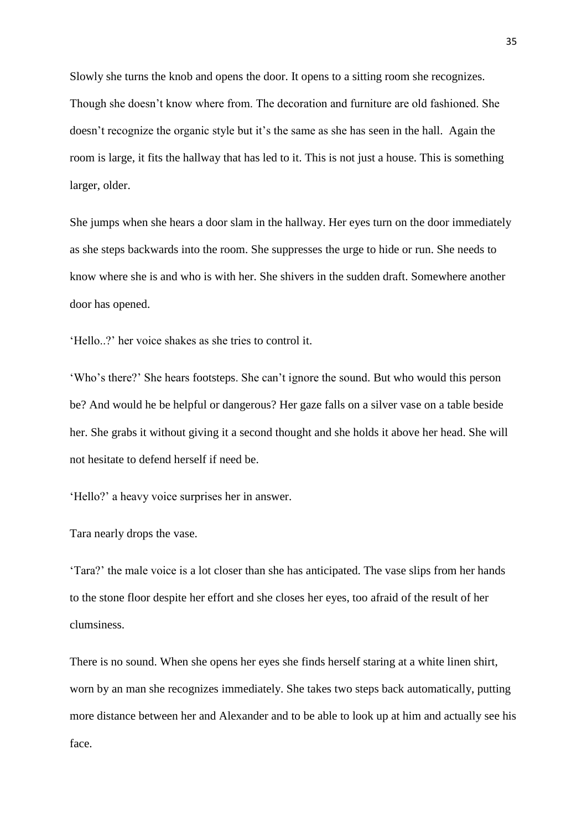Slowly she turns the knob and opens the door. It opens to a sitting room she recognizes. Though she doesn't know where from. The decoration and furniture are old fashioned. She doesn't recognize the organic style but it's the same as she has seen in the hall. Again the room is large, it fits the hallway that has led to it. This is not just a house. This is something larger, older.

She jumps when she hears a door slam in the hallway. Her eyes turn on the door immediately as she steps backwards into the room. She suppresses the urge to hide or run. She needs to know where she is and who is with her. She shivers in the sudden draft. Somewhere another door has opened.

‗Hello..?' her voice shakes as she tries to control it.

‗Who's there?' She hears footsteps. She can't ignore the sound. But who would this person be? And would he be helpful or dangerous? Her gaze falls on a silver vase on a table beside her. She grabs it without giving it a second thought and she holds it above her head. She will not hesitate to defend herself if need be.

‗Hello?' a heavy voice surprises her in answer.

## Tara nearly drops the vase.

‗Tara?' the male voice is a lot closer than she has anticipated. The vase slips from her hands to the stone floor despite her effort and she closes her eyes, too afraid of the result of her clumsiness.

There is no sound. When she opens her eyes she finds herself staring at a white linen shirt, worn by an man she recognizes immediately. She takes two steps back automatically, putting more distance between her and Alexander and to be able to look up at him and actually see his face.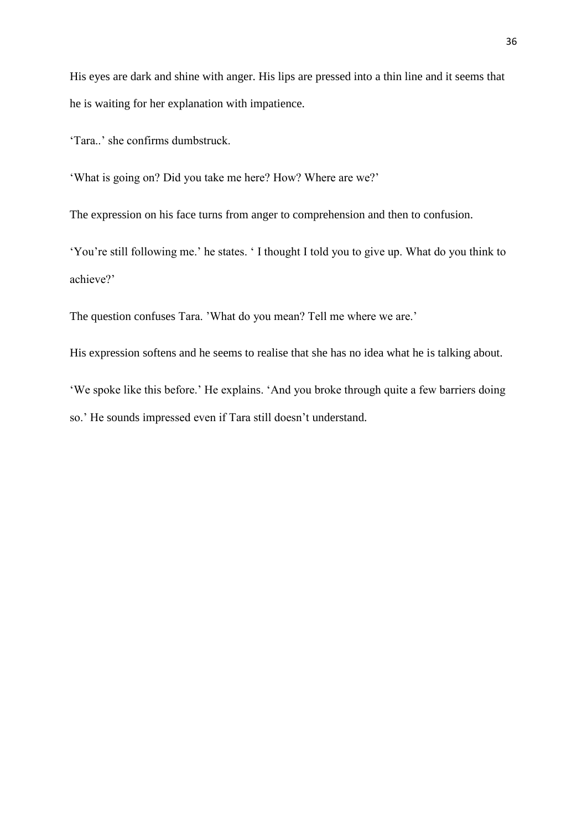His eyes are dark and shine with anger. His lips are pressed into a thin line and it seems that he is waiting for her explanation with impatience.

‗Tara..' she confirms dumbstruck.

‗What is going on? Did you take me here? How? Where are we?'

The expression on his face turns from anger to comprehension and then to confusion.

‗You're still following me.' he states. ‗ I thought I told you to give up. What do you think to achieve?'

The question confuses Tara. 'What do you mean? Tell me where we are.'

His expression softens and he seems to realise that she has no idea what he is talking about.

‗We spoke like this before.' He explains. ‗And you broke through quite a few barriers doing so.' He sounds impressed even if Tara still doesn't understand.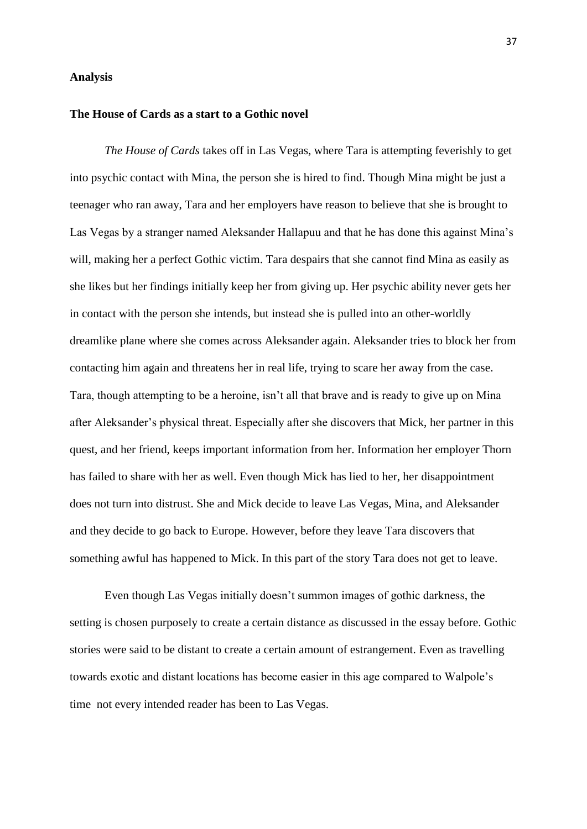#### **Analysis**

# **The House of Cards as a start to a Gothic novel**

*The House of Cards* takes off in Las Vegas, where Tara is attempting feverishly to get into psychic contact with Mina, the person she is hired to find. Though Mina might be just a teenager who ran away, Tara and her employers have reason to believe that she is brought to Las Vegas by a stranger named Aleksander Hallapuu and that he has done this against Mina's will, making her a perfect Gothic victim. Tara despairs that she cannot find Mina as easily as she likes but her findings initially keep her from giving up. Her psychic ability never gets her in contact with the person she intends, but instead she is pulled into an other-worldly dreamlike plane where she comes across Aleksander again. Aleksander tries to block her from contacting him again and threatens her in real life, trying to scare her away from the case. Tara, though attempting to be a heroine, isn't all that brave and is ready to give up on Mina after Aleksander's physical threat. Especially after she discovers that Mick, her partner in this quest, and her friend, keeps important information from her. Information her employer Thorn has failed to share with her as well. Even though Mick has lied to her, her disappointment does not turn into distrust. She and Mick decide to leave Las Vegas, Mina, and Aleksander and they decide to go back to Europe. However, before they leave Tara discovers that something awful has happened to Mick. In this part of the story Tara does not get to leave.

Even though Las Vegas initially doesn't summon images of gothic darkness, the setting is chosen purposely to create a certain distance as discussed in the essay before. Gothic stories were said to be distant to create a certain amount of estrangement. Even as travelling towards exotic and distant locations has become easier in this age compared to Walpole's time not every intended reader has been to Las Vegas.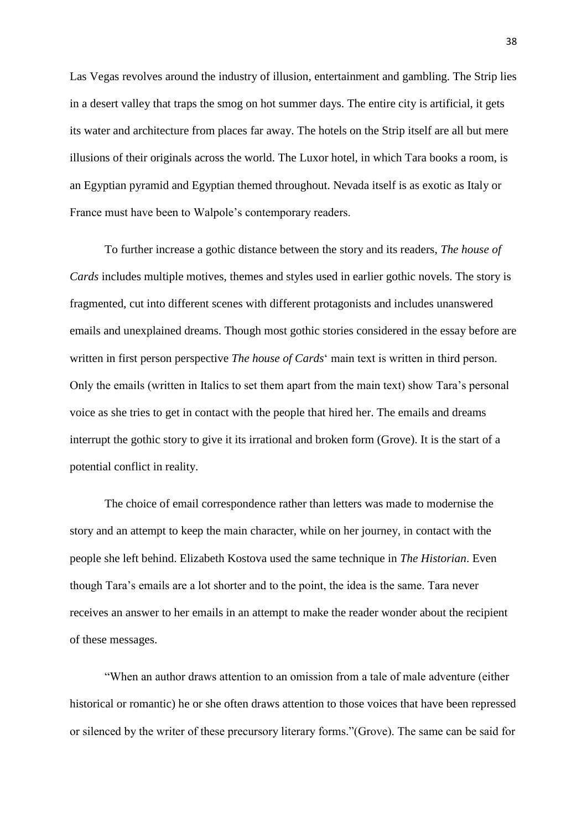Las Vegas revolves around the industry of illusion, entertainment and gambling. The Strip lies in a desert valley that traps the smog on hot summer days. The entire city is artificial, it gets its water and architecture from places far away. The hotels on the Strip itself are all but mere illusions of their originals across the world. The Luxor hotel, in which Tara books a room, is an Egyptian pyramid and Egyptian themed throughout. Nevada itself is as exotic as Italy or France must have been to Walpole's contemporary readers.

To further increase a gothic distance between the story and its readers, *The house of Cards* includes multiple motives, themes and styles used in earlier gothic novels. The story is fragmented, cut into different scenes with different protagonists and includes unanswered emails and unexplained dreams. Though most gothic stories considered in the essay before are written in first person perspective *The house of Cards*' main text is written in third person. Only the emails (written in Italics to set them apart from the main text) show Tara's personal voice as she tries to get in contact with the people that hired her. The emails and dreams interrupt the gothic story to give it its irrational and broken form (Grove). It is the start of a potential conflict in reality.

The choice of email correspondence rather than letters was made to modernise the story and an attempt to keep the main character, while on her journey, in contact with the people she left behind. Elizabeth Kostova used the same technique in *The Historian*. Even though Tara's emails are a lot shorter and to the point, the idea is the same. Tara never receives an answer to her emails in an attempt to make the reader wonder about the recipient of these messages.

―When an author draws attention to an omission from a tale of male adventure (either historical or romantic) he or she often draws attention to those voices that have been repressed or silenced by the writer of these precursory literary forms."(Grove). The same can be said for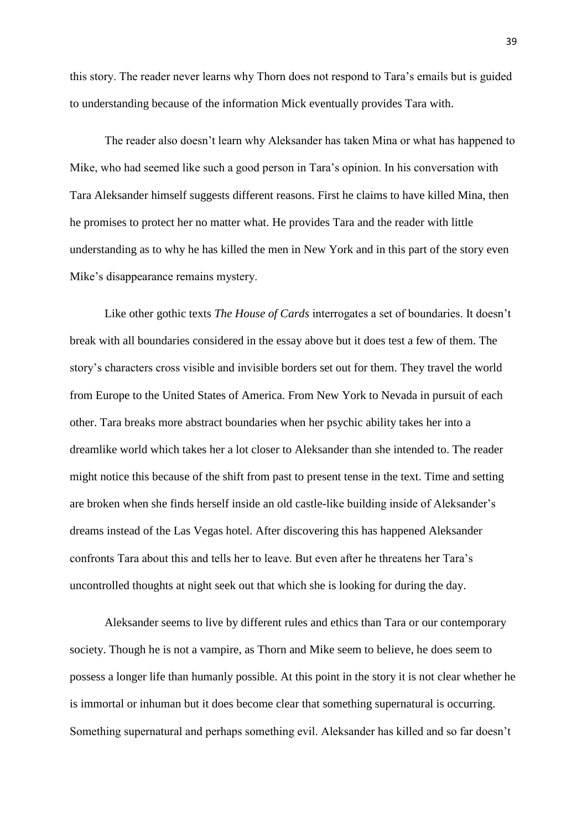this story. The reader never learns why Thorn does not respond to Tara's emails but is guided to understanding because of the information Mick eventually provides Tara with.

The reader also doesn't learn why Aleksander has taken Mina or what has happened to Mike, who had seemed like such a good person in Tara's opinion. In his conversation with Tara Aleksander himself suggests different reasons. First he claims to have killed Mina, then he promises to protect her no matter what. He provides Tara and the reader with little understanding as to why he has killed the men in New York and in this part of the story even Mike's disappearance remains mystery.

Like other gothic texts *The House of Cards* interrogates a set of boundaries. It doesn't break with all boundaries considered in the essay above but it does test a few of them. The story's characters cross visible and invisible borders set out for them. They travel the world from Europe to the United States of America. From New York to Nevada in pursuit of each other. Tara breaks more abstract boundaries when her psychic ability takes her into a dreamlike world which takes her a lot closer to Aleksander than she intended to. The reader might notice this because of the shift from past to present tense in the text. Time and setting are broken when she finds herself inside an old castle-like building inside of Aleksander's dreams instead of the Las Vegas hotel. After discovering this has happened Aleksander confronts Tara about this and tells her to leave. But even after he threatens her Tara's uncontrolled thoughts at night seek out that which she is looking for during the day.

Aleksander seems to live by different rules and ethics than Tara or our contemporary society. Though he is not a vampire, as Thorn and Mike seem to believe, he does seem to possess a longer life than humanly possible. At this point in the story it is not clear whether he is immortal or inhuman but it does become clear that something supernatural is occurring. Something supernatural and perhaps something evil. Aleksander has killed and so far doesn't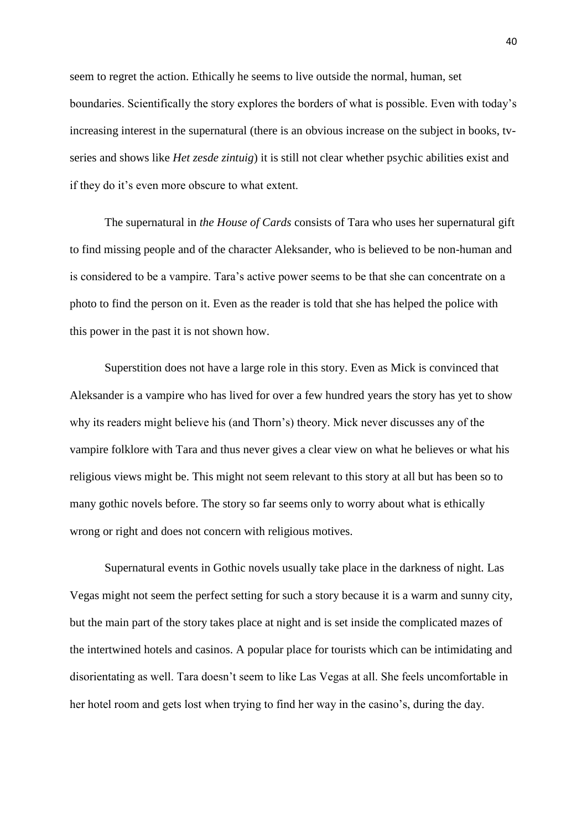seem to regret the action. Ethically he seems to live outside the normal, human, set boundaries. Scientifically the story explores the borders of what is possible. Even with today's increasing interest in the supernatural (there is an obvious increase on the subject in books, tvseries and shows like *Het zesde zintuig*) it is still not clear whether psychic abilities exist and if they do it's even more obscure to what extent.

The supernatural in *the House of Cards* consists of Tara who uses her supernatural gift to find missing people and of the character Aleksander, who is believed to be non-human and is considered to be a vampire. Tara's active power seems to be that she can concentrate on a photo to find the person on it. Even as the reader is told that she has helped the police with this power in the past it is not shown how.

Superstition does not have a large role in this story. Even as Mick is convinced that Aleksander is a vampire who has lived for over a few hundred years the story has yet to show why its readers might believe his (and Thorn's) theory. Mick never discusses any of the vampire folklore with Tara and thus never gives a clear view on what he believes or what his religious views might be. This might not seem relevant to this story at all but has been so to many gothic novels before. The story so far seems only to worry about what is ethically wrong or right and does not concern with religious motives.

Supernatural events in Gothic novels usually take place in the darkness of night. Las Vegas might not seem the perfect setting for such a story because it is a warm and sunny city, but the main part of the story takes place at night and is set inside the complicated mazes of the intertwined hotels and casinos. A popular place for tourists which can be intimidating and disorientating as well. Tara doesn't seem to like Las Vegas at all. She feels uncomfortable in her hotel room and gets lost when trying to find her way in the casino's, during the day.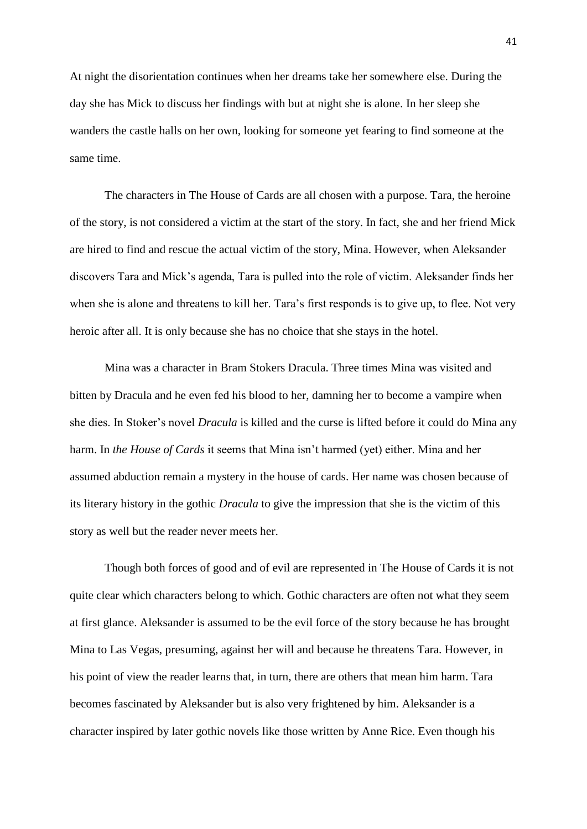At night the disorientation continues when her dreams take her somewhere else. During the day she has Mick to discuss her findings with but at night she is alone. In her sleep she wanders the castle halls on her own, looking for someone yet fearing to find someone at the same time.

The characters in The House of Cards are all chosen with a purpose. Tara, the heroine of the story, is not considered a victim at the start of the story. In fact, she and her friend Mick are hired to find and rescue the actual victim of the story, Mina. However, when Aleksander discovers Tara and Mick's agenda, Tara is pulled into the role of victim. Aleksander finds her when she is alone and threatens to kill her. Tara's first responds is to give up, to flee. Not very heroic after all. It is only because she has no choice that she stays in the hotel.

Mina was a character in Bram Stokers Dracula. Three times Mina was visited and bitten by Dracula and he even fed his blood to her, damning her to become a vampire when she dies. In Stoker's novel *Dracula* is killed and the curse is lifted before it could do Mina any harm. In *the House of Cards* it seems that Mina isn't harmed (yet) either. Mina and her assumed abduction remain a mystery in the house of cards. Her name was chosen because of its literary history in the gothic *Dracula* to give the impression that she is the victim of this story as well but the reader never meets her.

Though both forces of good and of evil are represented in The House of Cards it is not quite clear which characters belong to which. Gothic characters are often not what they seem at first glance. Aleksander is assumed to be the evil force of the story because he has brought Mina to Las Vegas, presuming, against her will and because he threatens Tara. However, in his point of view the reader learns that, in turn, there are others that mean him harm. Tara becomes fascinated by Aleksander but is also very frightened by him. Aleksander is a character inspired by later gothic novels like those written by Anne Rice. Even though his